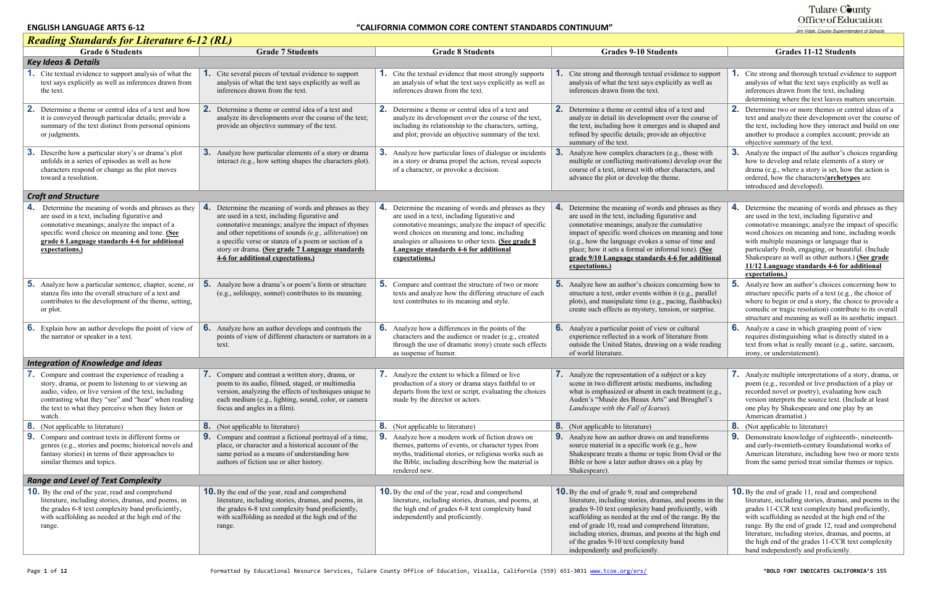| <b>Reading Standards for Literature 6-12 (RL)</b>                                                                                                                                                                                                                                      |                                                                                                                                                                                                                                                                                                                                                                           |                                                                                                                                                                                                                                                                                                                                 |                                                                                                                                                                                                                                                                                                                                                                                                                            |                                                                                                                                                                                                                                                                                                                                                                                                                                                  |
|----------------------------------------------------------------------------------------------------------------------------------------------------------------------------------------------------------------------------------------------------------------------------------------|---------------------------------------------------------------------------------------------------------------------------------------------------------------------------------------------------------------------------------------------------------------------------------------------------------------------------------------------------------------------------|---------------------------------------------------------------------------------------------------------------------------------------------------------------------------------------------------------------------------------------------------------------------------------------------------------------------------------|----------------------------------------------------------------------------------------------------------------------------------------------------------------------------------------------------------------------------------------------------------------------------------------------------------------------------------------------------------------------------------------------------------------------------|--------------------------------------------------------------------------------------------------------------------------------------------------------------------------------------------------------------------------------------------------------------------------------------------------------------------------------------------------------------------------------------------------------------------------------------------------|
| <b>Grade 6 Students</b>                                                                                                                                                                                                                                                                | <b>Grade 7 Students</b>                                                                                                                                                                                                                                                                                                                                                   | <b>Grade 8 Students</b>                                                                                                                                                                                                                                                                                                         | <b>Grades 9-10 Students</b>                                                                                                                                                                                                                                                                                                                                                                                                | <b>Grades 11-12 Students</b>                                                                                                                                                                                                                                                                                                                                                                                                                     |
| <b>Key Ideas &amp; Details</b>                                                                                                                                                                                                                                                         |                                                                                                                                                                                                                                                                                                                                                                           |                                                                                                                                                                                                                                                                                                                                 |                                                                                                                                                                                                                                                                                                                                                                                                                            |                                                                                                                                                                                                                                                                                                                                                                                                                                                  |
| Cite textual evidence to support analysis of what the<br>text says explicitly as well as inferences drawn from<br>the text.                                                                                                                                                            | Cite several pieces of textual evidence to support<br>analysis of what the text says explicitly as well as<br>inferences drawn from the text.                                                                                                                                                                                                                             | <b>1.</b> Cite the textual evidence that most strongly supports<br>an analysis of what the text says explicitly as well as<br>inferences drawn from the text.                                                                                                                                                                   | Cite strong and thorough textual evidence to support<br>analysis of what the text says explicitly as well as<br>inferences drawn from the text.                                                                                                                                                                                                                                                                            | . Cite strong and thorough textual evidence to support<br>analysis of what the text says explicitly as well as<br>inferences drawn from the text, including<br>determining where the text leaves matters uncertain.                                                                                                                                                                                                                              |
| 2.<br>Determine a theme or central idea of a text and how<br>it is conveyed through particular details; provide a<br>summary of the text distinct from personal opinions<br>or judgments.                                                                                              | 2.<br>Determine a theme or central idea of a text and<br>analyze its developments over the course of the text;<br>provide an objective summary of the text.                                                                                                                                                                                                               | <b>2.</b> Determine a theme or central idea of a text and<br>analyze its development over the course of the text,<br>including its relationship to the characters, setting,<br>and plot; provide an objective summary of the text.                                                                                              | <b>2.</b> Determine a theme or central idea of a text and<br>analyze in detail its development over the course of<br>the text, including how it emerges and is shaped and<br>refined by specific details; provide an objective<br>summary of the text.                                                                                                                                                                     | 2. Determine two or more themes or central ideas of a<br>text and analyze their development over the course of<br>the text, including how they interact and build on one<br>another to produce a complex account; provide an<br>objective summary of the text.                                                                                                                                                                                   |
| <b>3.</b> Describe how a particular story's or drama's plot<br>unfolds in a series of episodes as well as how<br>characters respond or change as the plot moves<br>toward a resolution.                                                                                                | <b>3.</b> Analyze how particular elements of a story or drama<br>interact (e.g., how setting shapes the characters plot).                                                                                                                                                                                                                                                 | Analyze how particular lines of dialogue or incidents<br>in a story or drama propel the action, reveal aspects<br>of a character, or provoke a decision.                                                                                                                                                                        | Analyze how complex characters (e.g., those with<br>multiple or conflicting motivations) develop over the<br>course of a text, interact with other characters, and<br>advance the plot or develop the theme.                                                                                                                                                                                                               | <b>3.</b> Analyze the impact of the author's choices regarding<br>how to develop and relate elements of a story or<br>drama (e.g., where a story is set, how the action is<br>ordered, how the characters/archetypes are<br>introduced and developed).                                                                                                                                                                                           |
| <b>Craft and Structure</b>                                                                                                                                                                                                                                                             |                                                                                                                                                                                                                                                                                                                                                                           |                                                                                                                                                                                                                                                                                                                                 |                                                                                                                                                                                                                                                                                                                                                                                                                            |                                                                                                                                                                                                                                                                                                                                                                                                                                                  |
| <b>4.</b> Determine the meaning of words and phrases as they<br>are used in a text, including figurative and<br>connotative meanings; analyze the impact of a<br>specific word choice on meaning and tone. (See<br>grade 6 Language standards 4-6 for additional<br>expectations.)     | 4.<br>Determine the meaning of words and phrases as they<br>are used in a text, including figurative and<br>connotative meanings; analyze the impact of rhymes<br>and other repetitions of sounds (e.g., alliteration) on<br>a specific verse or stanza of a poem or section of a<br>story or drama. (See grade 7 Language standards<br>4-6 for additional expectations.) | 4. Determine the meaning of words and phrases as they<br>are used in a text, including figurative and<br>connotative meanings; analyze the impact of specific<br>word choices on meaning and tone, including<br>analogies or allusions to other texts. (See grade 8)<br>Language standards 4-6 for additional<br>expectations.) | Determine the meaning of words and phrases as they<br>are used in the text, including figurative and<br>connotative meanings; analyze the cumulative<br>impact of specific word choices on meaning and tone<br>(e.g., how the language evokes a sense of time and<br>place; how it sets a formal or informal tone). (See<br>grade 9/10 Language standards 4-6 for additional<br>expectations.)                             | 4. Determine the meaning of words and phrases as they<br>are used in the text, including figurative and<br>connotative meanings; analyze the impact of specific<br>word choices on meaning and tone, including words<br>with multiple meanings or language that is<br>particularly fresh, engaging, or beautiful. (Include<br>Shakespeare as well as other authors.) (See grade<br>11/12 Language standards 4-6 for additional<br>expectations.) |
| <b>5.</b> Analyze how a particular sentence, chapter, scene, or<br>stanza fits into the overall structure of a text and<br>contributes to the development of the theme, setting,<br>or plot.                                                                                           | <b>5.</b> Analyze how a drama's or poem's form or structure<br>(e.g., soliloquy, sonnet) contributes to its meaning.                                                                                                                                                                                                                                                      | 5.<br>Compare and contrast the structure of two or more<br>texts and analyze how the differing structure of each<br>text contributes to its meaning and style.                                                                                                                                                                  | <b>5.</b> Analyze how an author's choices concerning how to<br>structure a text, order events within it (e.g., parallel<br>plots), and manipulate time (e.g., pacing, flashbacks)<br>create such effects as mystery, tension, or surprise.                                                                                                                                                                                 | <b>5.</b> Analyze how an author's choices concerning how to<br>structure specific parts of a text (e.g., the choice of<br>where to begin or end a story, the choice to provide a<br>comedic or tragic resolution) contribute to its overall<br>structure and meaning as well as its aesthetic impact.                                                                                                                                            |
| <b>6.</b> Explain how an author develops the point of view of<br>the narrator or speaker in a text.                                                                                                                                                                                    | <b>6.</b> Analyze how an author develops and contrasts the<br>points of view of different characters or narrators in a<br>text.                                                                                                                                                                                                                                           | <b>6.</b> Analyze how a differences in the points of the<br>characters and the audience or reader (e.g., created<br>through the use of dramatic irony) create such effects<br>as suspense of humor.                                                                                                                             | <b>6.</b> Analyze a particular point of view or cultural<br>experience reflected in a work of literature from<br>outside the United States, drawing on a wide reading<br>of world literature.                                                                                                                                                                                                                              | 6. Analyze a case in which grasping point of view<br>requires distinguishing what is directly stated in a<br>text from what is really meant (e.g., satire, sarcasm,<br>irony, or understatement).                                                                                                                                                                                                                                                |
| Integration of Knowledge and Ideas                                                                                                                                                                                                                                                     |                                                                                                                                                                                                                                                                                                                                                                           |                                                                                                                                                                                                                                                                                                                                 |                                                                                                                                                                                                                                                                                                                                                                                                                            |                                                                                                                                                                                                                                                                                                                                                                                                                                                  |
| Compare and contrast the experience of reading a<br>story, drama, or poem to listening to or viewing an<br>audio, video, or live version of the text, including<br>contrasting what they "see" and "hear" when reading<br>the text to what they perceive when they listen or<br>watch. | $\overline{ }$<br><b>7.</b> Compare and contrast a written story, drama, or<br>poem to its audio, filmed, staged, or multimedia<br>version, analyzing the effects of techniques unique to<br>each medium (e.g., lighting, sound, color, or camera<br>focus and angles in a film).                                                                                         | $\rightarrow$<br><b>1.</b> Analyze the extent to which a filmed or live<br>production of a story or drama stays faithful to or<br>departs from the text or script, evaluating the choices<br>made by the director or actors.                                                                                                    | $\rightarrow$<br><b>1.</b> Analyze the representation of a subject or a key<br>scene in two different artistic mediums, including<br>what is emphasized or absent in each treatment (e.g.,<br>Auden's "Musée des Beaux Arts" and Breughel's<br>Landscape with the Fall of Icarus).                                                                                                                                         | 7. Analyze multiple interpretations of a story, drama, or<br>poem (e.g., recorded or live production of a play or<br>recorded novel or poetry), evaluating how each<br>version interprets the source text. (Include at least<br>one play by Shakespeare and one play by an<br>American dramatist.)                                                                                                                                               |
| 8.<br>(Not applicable to literature)                                                                                                                                                                                                                                                   | <b>8.</b> (Not applicable to literature)                                                                                                                                                                                                                                                                                                                                  | <b>8.</b> (Not applicable to literature)                                                                                                                                                                                                                                                                                        | <b>8.</b> (Not applicable to literature)                                                                                                                                                                                                                                                                                                                                                                                   | <b>8.</b> (Not applicable to literature)                                                                                                                                                                                                                                                                                                                                                                                                         |
| <b>9.</b> Compare and contrast texts in different forms or<br>genres (e.g., stories and poems; historical novels and<br>fantasy stories) in terms of their approaches to<br>similar themes and topics.                                                                                 | 9. Compare and contrast a fictional portrayal of a time,<br>place, or character and a historical account of the<br>same period as a means of understanding how<br>authors of fiction use or alter history.                                                                                                                                                                | <b>9.</b> Analyze how a modern work of fiction draws on<br>themes, patterns of events, or character types from<br>myths, traditional stories, or religious works such as<br>the Bible, including describing how the material is<br>rendered new.                                                                                | Analyze how an author draws on and transforms<br>source material in a specific work (e.g., how<br>Shakespeare treats a theme or topic from Ovid or the<br>Bible or how a later author draws on a play by<br>Shakespeare).                                                                                                                                                                                                  | <b>9.</b> Demonstrate knowledge of eighteenth-, nineteenth-<br>and early-twentieth-century foundational works of<br>American literature, including how two or more texts<br>from the same period treat similar themes or topics.                                                                                                                                                                                                                 |
| <b>Range and Level of Text Complexity</b>                                                                                                                                                                                                                                              |                                                                                                                                                                                                                                                                                                                                                                           |                                                                                                                                                                                                                                                                                                                                 |                                                                                                                                                                                                                                                                                                                                                                                                                            |                                                                                                                                                                                                                                                                                                                                                                                                                                                  |
| <b>10.</b> By the end of the year, read and comprehend<br>literature, including stories, dramas, and poems, in<br>the grades 6-8 text complexity band proficiently,<br>with scaffolding as needed at the high end of the<br>range.                                                     | <b>10.</b> By the end of the year, read and comprehend<br>literature, including stories, dramas, and poems, in<br>the grades 6-8 text complexity band proficiently,<br>with scaffolding as needed at the high end of the<br>range.                                                                                                                                        | <b>10.</b> By the end of the year, read and comprehend<br>literature, including stories, dramas, and poems, at<br>the high end of grades 6-8 text complexity band<br>independently and proficiently.                                                                                                                            | <b>10.</b> By the end of grade 9, read and comprehend<br>literature, including stories, dramas, and poems in the<br>grades 9-10 text complexity band proficiently, with<br>scaffolding as needed at the end of the range. By the<br>end of grade 10, read and comprehend literature,<br>including stories, dramas, and poems at the high end<br>of the grades 9-10 text complexity band<br>independently and proficiently. | <b>10.</b> By the end of grade 11, read and comprehend<br>literature, including stories, dramas, and poems in the<br>grades 11-CCR text complexity band proficiently,<br>with scaffolding as needed at the high end of the<br>range. By the end of grade 12, read and comprehend<br>literature, including stories, dramas, and poems, at<br>the high end of the grades 11-CCR text complexity<br>band independently and proficiently.            |

# Tulare County<br>Office of Education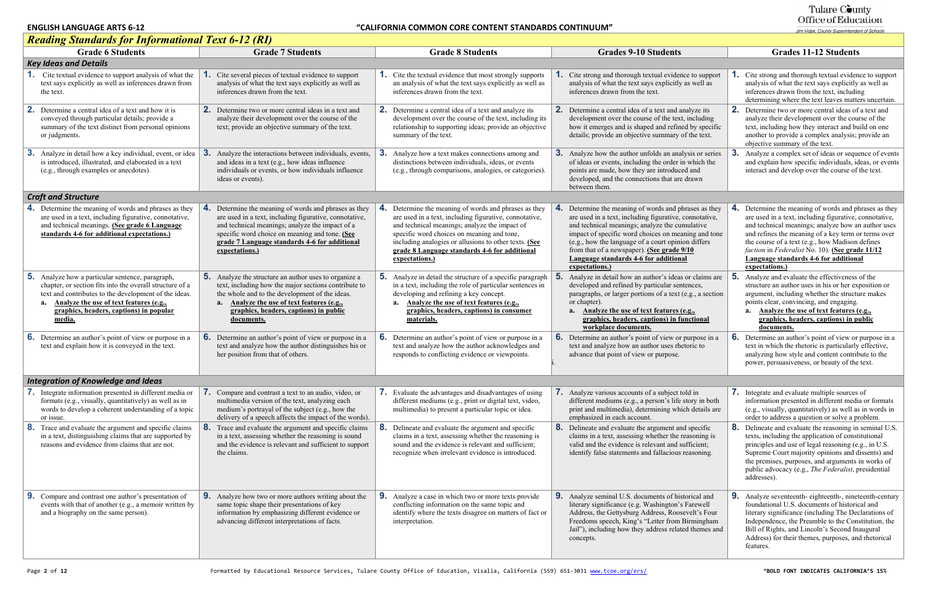#### Tulare County Office of Education

#### *Reading Standards for Informational Text 6-12 (RI)*  Grade 6 Students Grade 7 Students Grade 1 Students Grade 8 Students Grades 9-10 Students Grades 11-12 Students *Key Ideas and Details* **1.** Cite textual evidence to support analysis of what the text says explicitly as well as inferences drawn from the text. **1.** Cite several pieces of textual evidence to support analysis of what the text says explicitly as well as inferences drawn from the text. **1.** Cite the textual evidence that most strongly supports an analysis of what the text says explicitly as well as inferences drawn from the text. **1.** Cite strong and thorough textual evident analysis of what the text says explicitly inferences drawn from the text. **2.** Determine a central idea of a text and how it is conveyed through particular details; provide a summary of the text distinct from personal opinions or judgments. **2.** Determine two or more central ideas in a text and analyze their development over the course of the text; provide an objective summary of the text. **2.** Determine a central idea of a text and analyze its development over the course of the text, including its relationship to supporting ideas; provide an objective summary of the text. **2.** Determine a central idea of a text and a development over the course of the text how it emerges and is shaped and refin details; provide an objective summary **3.** Analyze in detail how a key individual, event, or idea **3.** Analyze the interactions between individuals, events, is introduced, illustrated, and elaborated in a text (e.g., through examples or anecdotes). and ideas in a text (e.g., how ideas influence individuals or events, or how individuals influence ideas or events). **3.** Analyze how a text makes connections among and distinctions between individuals, ideas, or events (e.g., through comparisons, analogies, or categories). **3.** Analyze how the author unfolds an analyze of ideas or events, including the order points are made, how they are introduced developed, and the connections that are between them. *Craft and Structure* **4.** Determine the meaning of words and phrases as they are used in a text, including figurative, connotative, and technical meanings. **(See grade 6 Language standards 4-6 for additional expectations.) 4.** Determine the meaning of words and phrases as they are used in a text, including figurative, connotative, and technical meanings; analyze the impact of a specific word choice on meaning and tone. **(See grade 7 Language standards 4-6 for additional expectations.) 4.** Determine the meaning of words and phrases as they are used in a text, including figurative, connotative, and technical meanings; analyze the impact of specific word choices on meaning and tone, including analogies or allusions to other texts. **(See grade 8 Language standards 4-6 for additional expectations.) 4.** Determine the meaning of words and phrases and phrases as the meaning of words and phrases and phrases as the  $\frac{1}{2}$ are used in a text, including figurative, and technical meanings; analyze the cu impact of specific word choices on mea  $(e.g., how the language of a court opin$ from that of a newspaper). **(See grade Language standards 4-6 for addition expectations.) 5.** Analyze how a particular sentence, paragraph, chapter, or section fits into the overall structure of a text and contributes to the development of the ideas. **a. Analyze the use of text features (e.g., graphics, headers, captions) in popular media. 5.** Analyze the structure an author uses to organize a text, including how the major sections contribute to the whole and to the development of the ideas. **a. Analyze the use of text features (e.g., graphics, headers, captions) in public documents. 5.** Analyze in detail the structure of a specific paragraph **5.** in a text, including the role of particular sentences in developing and refining a key concept. **a. Analyze the use of text features (e.g., graphics, headers, captions) in consumer materials.** Analyze in detail how an author's ideas developed and refined by particular sen paragraphs, or larger portions of a text or chapter). **a. Analyze the use of text features (e.g., graphics, headers, captions) in f workplace documents. 6.** Determine an author's point of view or purpose in a text and explain how it is conveyed in the text. **6.** Determine an author's point of view or purpose in a text and analyze how the author distinguishes his or her position from that of others. **6.** Determine an author's point of view or purpose in a text and analyze how the author acknowledges and responds to conflicting evidence or viewpoints. **6.** Determine an author's point of view or text and analyze how an author uses rhe advance that point of view or purpose. i.*Integration of Knowledge and Ideas* **7.** Integrate information presented in different media or formats (e.g., visually, quantitatively) as well as in words to develop a coherent understanding of a topic or issue. **7.** Compare and contrast a text to an audio, video, or multimedia version of the text, analyzing each medium's portrayal of the subject (e.g., how the delivery of a speech affects the impact of the words). **7.** Evaluate the advantages and disadvantages of using different mediums (e.g., print or digital text, video, multimedia) to present a particular topic or idea. **7.** Analyze various accounts of a subject different mediums (e.g., a person's life print and multimedia), determining which details are all the details are all  $\alpha$ emphasized in each account. **8.** Trace and evaluate the argument and specific claims in a text, distinguishing claims that are supported by reasons and evidence from claims that are not. **8.** Trace and evaluate the argument and specific claims in a text, assessing whether the reasoning is sound and the evidence is relevant and sufficient to support the claims. **8.** Delineate and evaluate the argument and specific claims in a text, assessing whether the reasoning is sound and the evidence is relevant and sufficient; recognize when irrelevant evidence is introduced. **8.** Delineate and evaluate the argument and specifical specifical specifical specifical specifical specifical specifical specifical specifical specifical specifical specifical specified specified specified specified speci claims in a text, assessing whether the valid and the evidence is relevant and s identify false statements and fallacious **9.** Compare and contrast one author's presentation of events with that of another (e.g., a memoir written by and a biography on the same person). **9.** Analyze how two or more authors writing about the same topic shape their presentations of key information by emphasizing different evidence or advancing different interpretations of facts. **9.** Analyze a case in which two or more texts provide conflicting information on the same topic and identify where the texts disagree on matters of fact or interpretation. **9.** Analyze seminal U.S. documents of hi literary significance (e.g. Washington's Address, the Gettysburg Address, Roos Freedoms speech, King's "Letter from Jail"), including how they address related themes and themes and themes and themes and themes and themes and themes and themes and themes and themes and themes and themes and themes and themes and themes and themes and the concepts.

|                                                                                           | <b>Grades 11-12 Students</b>                                                                                                                                                                                                                                                                                                                                                                     |
|-------------------------------------------------------------------------------------------|--------------------------------------------------------------------------------------------------------------------------------------------------------------------------------------------------------------------------------------------------------------------------------------------------------------------------------------------------------------------------------------------------|
|                                                                                           |                                                                                                                                                                                                                                                                                                                                                                                                  |
| nce to support<br>as well as                                                              | <b>1.</b> Cite strong and thorough textual evidence to support<br>analysis of what the text says explicitly as well as<br>inferences drawn from the text, including<br>determining where the text leaves matters uncertain.                                                                                                                                                                      |
| unalyze its<br>t, including<br>ed by specific<br>of the text.                             | 2.<br>Determine two or more central ideas of a text and<br>analyze their development over the course of the<br>text, including how they interact and build on one<br>another to provide a complex analysis; provide an<br>objective summary of the text.                                                                                                                                         |
| lysis or series<br>in which the<br>ed and<br>e drawn                                      | 3.<br>Analyze a complex set of ideas or sequence of events<br>and explain how specific individuals, ideas, or events<br>interact and develop over the course of the text.                                                                                                                                                                                                                        |
|                                                                                           |                                                                                                                                                                                                                                                                                                                                                                                                  |
| hrases as they<br>connotative,<br>mulative<br>aning and tone<br>ion differs<br>9/10<br>al | 4.<br>Determine the meaning of words and phrases as they<br>are used in a text, including figurative, connotative,<br>and technical meanings; analyze how an author uses<br>and refines the meaning of a key term or terms over<br>the course of a text (e.g., how Madison defines<br>faction in Federalist No. 10). (See grade 11/12<br>Language standards 4-6 for additional<br>expectations.) |
| s or claims are<br>itences,<br>(e.g., a section)<br>(e.g.,<br>unctional                   | 5.<br>Analyze and evaluate the effectiveness of the<br>structure an author uses in his or her exposition or<br>argument, including whether the structure makes<br>points clear, convincing, and engaging.<br>Analyze the use of text features (e.g.,<br>a.<br>graphics, headers, captions) in public<br>documents.                                                                               |
| purpose in a<br>etoric to                                                                 | 6.<br>Determine an author's point of view or purpose in a<br>text in which the rhetoric is particularly effective,<br>analyzing how style and content contribute to the<br>power, persuasiveness, or beauty of the text.                                                                                                                                                                         |
|                                                                                           |                                                                                                                                                                                                                                                                                                                                                                                                  |
| told in<br>story in both<br>ich details are                                               | 7.<br>Integrate and evaluate multiple sources of<br>information presented in different media or formats<br>(e.g., visually, quantitatively) as well as in words in<br>order to address a question or solve a problem.                                                                                                                                                                            |
| nd specific<br>reasoning is<br>sufficient;<br>reasoning.                                  | 8.<br>Delineate and evaluate the reasoning in seminal U.S.<br>texts, including the application of constitutional<br>principles and use of legal reasoning (e.g., in U.S.<br>Supreme Court majority opinions and dissents) and<br>the premises, purposes, and arguments in works of<br>public advocacy (e.g., The Federalist, presidential<br>addresses).                                         |
| storical and<br>s Farewell<br>sevelt's Four<br>Birmingham<br>ted themes and               | 9.<br>Analyze seventeenth-eighteenth-, nineteenth-century<br>foundational U.S. documents of historical and<br>literary significance (including The Declarations of<br>Independence, the Preamble to the Constitution, the<br>Bill of Rights, and Lincoln's Second Inaugural<br>Address) for their themes, purposes, and rhetorical<br>features.                                                  |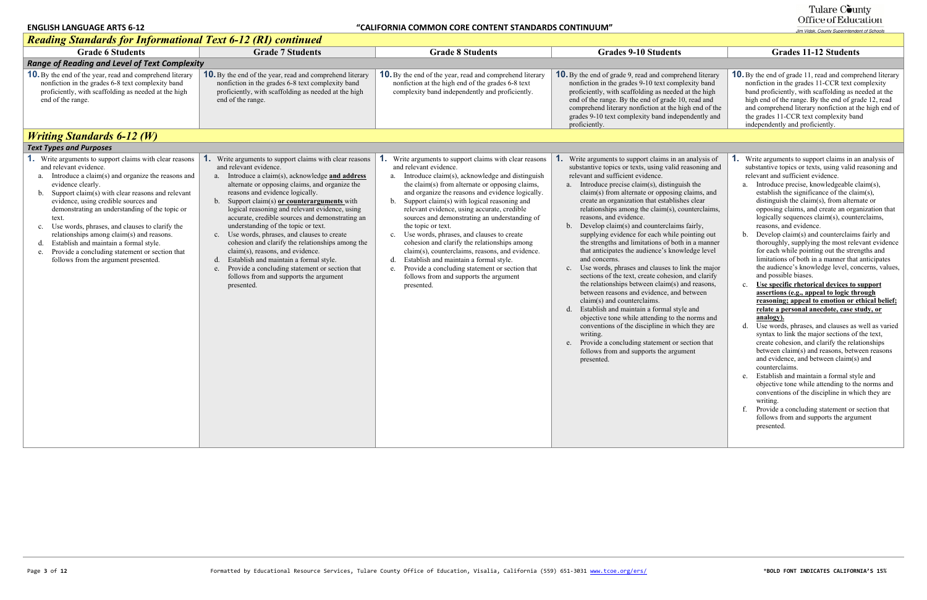#### Tulare County Office of Education

#### *Reading Standards for Informational Text 6-12 (RI) continued* Grade 6 Students Grade 7 Students Grade 1 Students Grade 8 Students Grades 9-10 Students Grades 11-12 Students *Range of Reading and Level of Text Complexity* **10.** By the end of the year, read and comprehend literary nonfiction in the grades 6-8 text complexity band proficiently, with scaffolding as needed at the high end of the range. **10.** By the end of the year, read and comprehend literary nonfiction in the grades 6-8 text complexity band proficiently, with scaffolding as needed at the high end of the range. **10.** By the end of the year, read and comprehend literary nonfiction at the high end of the grades 6-8 text complexity band independently and proficiently. **10.** By the end of grade 9, read and comprehend **10.** By the end of grade 9, read and compre nonfiction in the grades  $9-10$  text comp proficiently, with scaffolding as needed end of the range. By the end of grade 1 comprehend literary nonfiction at the h grades 9-10 text complexity band indep proficiently. *Writing Standards 6-12 (W) Text Types and Purposes* **1.** Write arguments to support claims with clear reasons and relevant evidence. a. Introduce a claim(s) and organize the reasons and evidence clearly. b. Support claim(s) with clear reasons and relevant evidence, using credible sources and demonstrating an understanding of the topic or text. c. Use words, phrases, and clauses to clarify the relationships among claim(s) and reasons. d. Establish and maintain a formal style. e. Provide a concluding statement or section that follows from the argument presented. **1.** Write arguments to support claims with clear reasons and relevant evidence. a. Introduce a claim(s), acknowledge **and address**  alternate or opposing claims, and organize the reasons and evidence logically. b. Support claim(s) **or counterarguments** with logical reasoning and relevant evidence, using accurate, credible sources and demonstrating an understanding of the topic or text. c. Use words, phrases, and clauses to create cohesion and clarify the relationships among the claim(s), reasons, and evidence. d. Establish and maintain a formal style. e. Provide a concluding statement or section that follows from and supports the argument presented. **1.** Write arguments to support claims with clear reasons and relevant evidence. a. Introduce claim(s), acknowledge and distinguish the claim(s) from alternate or opposing claims, and organize the reasons and evidence logically. b. Support claim(s) with logical reasoning and relevant evidence, using accurate, credible sources and demonstrating an understanding of the topic or text. c. Use words, phrases, and clauses to create cohesion and clarify the relationships among claim(s), counterclaims, reasons, and evidence. d. Establish and maintain a formal style. e. Provide a concluding statement or section that follows from and supports the argument presented. **1.** Write arguments to support claims in a substantive topics or texts, using valid relevant and sufficient evidence. a. Introduce precise claim(s), distinguish the  $claim(s)$  from alternate or opposing create an organization that established relationships among the claim $(s)$ , co reasons, and evidence. b. Develop claim(s) and counterclaims fairly, supplying evidence for each while the strengths and limitations of both that anticipates the audience's know and concerns. c. Use words, phrases and clauses to link the major sections of the text, create cohesion the relationships between  $claim(s)$ between reasons and evidence, and claim(s) and counterclaims. d. Establish and maintain a formal style and objective tone while attending to the conventions of the discipline in which writing. e. Provide a concluding statement or section that follows from and supports the arguments presented.

| <b>Grades 11-12 Students</b>                                                                                                                                                                                                                                                                                                                                                                                                                                                                                                                                                                                                                                                                                                                                                                                                                                                                                                                                                                                                                                                                                                                                                                                                                                                                                                                                                                                                                                                                                                       |
|------------------------------------------------------------------------------------------------------------------------------------------------------------------------------------------------------------------------------------------------------------------------------------------------------------------------------------------------------------------------------------------------------------------------------------------------------------------------------------------------------------------------------------------------------------------------------------------------------------------------------------------------------------------------------------------------------------------------------------------------------------------------------------------------------------------------------------------------------------------------------------------------------------------------------------------------------------------------------------------------------------------------------------------------------------------------------------------------------------------------------------------------------------------------------------------------------------------------------------------------------------------------------------------------------------------------------------------------------------------------------------------------------------------------------------------------------------------------------------------------------------------------------------|
|                                                                                                                                                                                                                                                                                                                                                                                                                                                                                                                                                                                                                                                                                                                                                                                                                                                                                                                                                                                                                                                                                                                                                                                                                                                                                                                                                                                                                                                                                                                                    |
| <b>10.</b> By the end of grade 11, read and comprehend literary<br>nonfiction in the grades 11-CCR text complexity<br>band proficiently, with scaffolding as needed at the<br>high end of the range. By the end of grade 12, read<br>and comprehend literary nonfiction at the high end of<br>the grades 11-CCR text complexity band<br>independently and proficiently.                                                                                                                                                                                                                                                                                                                                                                                                                                                                                                                                                                                                                                                                                                                                                                                                                                                                                                                                                                                                                                                                                                                                                            |
|                                                                                                                                                                                                                                                                                                                                                                                                                                                                                                                                                                                                                                                                                                                                                                                                                                                                                                                                                                                                                                                                                                                                                                                                                                                                                                                                                                                                                                                                                                                                    |
|                                                                                                                                                                                                                                                                                                                                                                                                                                                                                                                                                                                                                                                                                                                                                                                                                                                                                                                                                                                                                                                                                                                                                                                                                                                                                                                                                                                                                                                                                                                                    |
| <b>1.</b> Write arguments to support claims in an analysis of<br>substantive topics or texts, using valid reasoning and<br>relevant and sufficient evidence.<br>Introduce precise, knowledgeable claim(s),<br>a.<br>establish the significance of the claim(s),<br>distinguish the claim(s), from alternate or<br>opposing claims, and create an organization that<br>logically sequences claim(s), counterclaims,<br>reasons, and evidence.<br>Develop claim(s) and counterclaims fairly and<br>b.<br>thoroughly, supplying the most relevant evidence<br>for each while pointing out the strengths and<br>limitations of both in a manner that anticipates<br>the audience's knowledge level, concerns, values,<br>and possible biases.<br>Use specific rhetorical devices to support<br>$c_{\cdot}$<br>assertions (e.g., appeal to logic through<br>reasoning; appeal to emotion or ethical belief;<br>relate a personal anecdote, case study, or<br>analogy).<br>d.<br>Use words, phrases, and clauses as well as varied<br>syntax to link the major sections of the text,<br>create cohesion, and clarify the relationships<br>between claim(s) and reasons, between reasons<br>and evidence, and between claim(s) and<br>counterclaims.<br>Establish and maintain a formal style and<br>e.<br>objective tone while attending to the norms and<br>conventions of the discipline in which they are<br>writing.<br>f.<br>Provide a concluding statement or section that<br>follows from and supports the argument<br>presented. |
|                                                                                                                                                                                                                                                                                                                                                                                                                                                                                                                                                                                                                                                                                                                                                                                                                                                                                                                                                                                                                                                                                                                                                                                                                                                                                                                                                                                                                                                                                                                                    |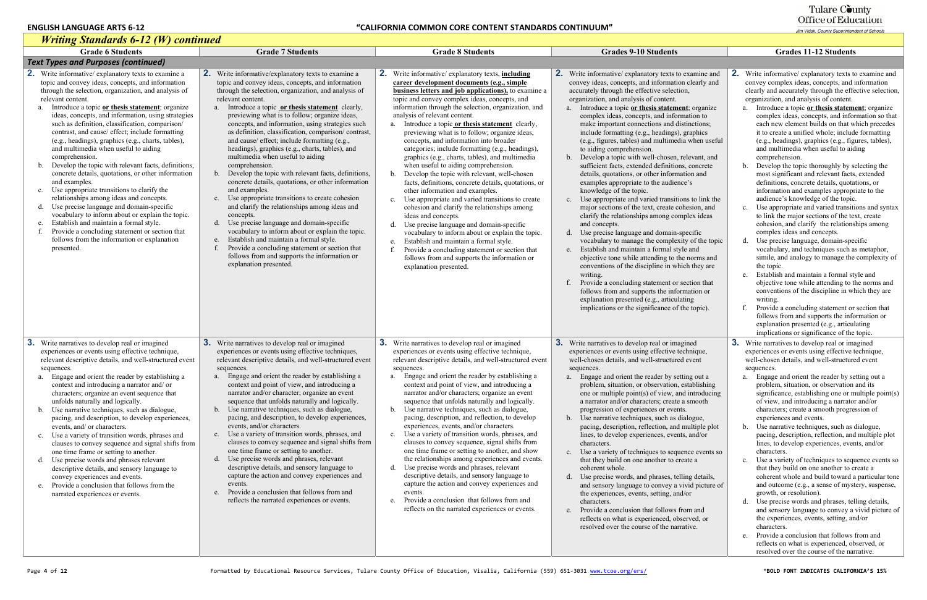| <b>Writing Standards 6-12 (W) continued</b>                                                                                                                                                                                                                                                                                                                                                                                                                                                                                                                                                                                                                                                                                                                                                                                                                                                                                                                                                                                                     |                                                                                                                                                                                                                                                                                                                                                                                                                                                                                                                                                                                                                                                                                                                                                                                                                                                                                                                                                                                                                                                                                                                           |                                                                                                                                                                                                                                                                                                                                                                                                                                                                                                                                                                                                                                                                                                                                                                                                                                                                                                                                                                                                                                                                                                                                                                            |                                                                                                                                                                                                                                                                                                                                                                                                                                                                                                                                                                                                                                                                                                                                                                                                                                                                                                                                                                                                                                                                                                                                                                                                                                                                                                                                                                                           |                                                                                                                                                                                                                                                                                                                                                                                                                                                                                                                                                                                                                                                                                                                                                                                                                                                                                                                                                                                                                                                                                                                                                                                                                                                                                                                                                                                                                                                                                                              |
|-------------------------------------------------------------------------------------------------------------------------------------------------------------------------------------------------------------------------------------------------------------------------------------------------------------------------------------------------------------------------------------------------------------------------------------------------------------------------------------------------------------------------------------------------------------------------------------------------------------------------------------------------------------------------------------------------------------------------------------------------------------------------------------------------------------------------------------------------------------------------------------------------------------------------------------------------------------------------------------------------------------------------------------------------|---------------------------------------------------------------------------------------------------------------------------------------------------------------------------------------------------------------------------------------------------------------------------------------------------------------------------------------------------------------------------------------------------------------------------------------------------------------------------------------------------------------------------------------------------------------------------------------------------------------------------------------------------------------------------------------------------------------------------------------------------------------------------------------------------------------------------------------------------------------------------------------------------------------------------------------------------------------------------------------------------------------------------------------------------------------------------------------------------------------------------|----------------------------------------------------------------------------------------------------------------------------------------------------------------------------------------------------------------------------------------------------------------------------------------------------------------------------------------------------------------------------------------------------------------------------------------------------------------------------------------------------------------------------------------------------------------------------------------------------------------------------------------------------------------------------------------------------------------------------------------------------------------------------------------------------------------------------------------------------------------------------------------------------------------------------------------------------------------------------------------------------------------------------------------------------------------------------------------------------------------------------------------------------------------------------|-------------------------------------------------------------------------------------------------------------------------------------------------------------------------------------------------------------------------------------------------------------------------------------------------------------------------------------------------------------------------------------------------------------------------------------------------------------------------------------------------------------------------------------------------------------------------------------------------------------------------------------------------------------------------------------------------------------------------------------------------------------------------------------------------------------------------------------------------------------------------------------------------------------------------------------------------------------------------------------------------------------------------------------------------------------------------------------------------------------------------------------------------------------------------------------------------------------------------------------------------------------------------------------------------------------------------------------------------------------------------------------------|--------------------------------------------------------------------------------------------------------------------------------------------------------------------------------------------------------------------------------------------------------------------------------------------------------------------------------------------------------------------------------------------------------------------------------------------------------------------------------------------------------------------------------------------------------------------------------------------------------------------------------------------------------------------------------------------------------------------------------------------------------------------------------------------------------------------------------------------------------------------------------------------------------------------------------------------------------------------------------------------------------------------------------------------------------------------------------------------------------------------------------------------------------------------------------------------------------------------------------------------------------------------------------------------------------------------------------------------------------------------------------------------------------------------------------------------------------------------------------------------------------------|
| <b>Grade 6 Students</b>                                                                                                                                                                                                                                                                                                                                                                                                                                                                                                                                                                                                                                                                                                                                                                                                                                                                                                                                                                                                                         | <b>Grade 7 Students</b>                                                                                                                                                                                                                                                                                                                                                                                                                                                                                                                                                                                                                                                                                                                                                                                                                                                                                                                                                                                                                                                                                                   | <b>Grade 8 Students</b>                                                                                                                                                                                                                                                                                                                                                                                                                                                                                                                                                                                                                                                                                                                                                                                                                                                                                                                                                                                                                                                                                                                                                    | <b>Grades 9-10 Students</b>                                                                                                                                                                                                                                                                                                                                                                                                                                                                                                                                                                                                                                                                                                                                                                                                                                                                                                                                                                                                                                                                                                                                                                                                                                                                                                                                                               | <b>Grades 11-12 Students</b>                                                                                                                                                                                                                                                                                                                                                                                                                                                                                                                                                                                                                                                                                                                                                                                                                                                                                                                                                                                                                                                                                                                                                                                                                                                                                                                                                                                                                                                                                 |
| <b>Text Types and Purposes (continued)</b>                                                                                                                                                                                                                                                                                                                                                                                                                                                                                                                                                                                                                                                                                                                                                                                                                                                                                                                                                                                                      |                                                                                                                                                                                                                                                                                                                                                                                                                                                                                                                                                                                                                                                                                                                                                                                                                                                                                                                                                                                                                                                                                                                           |                                                                                                                                                                                                                                                                                                                                                                                                                                                                                                                                                                                                                                                                                                                                                                                                                                                                                                                                                                                                                                                                                                                                                                            |                                                                                                                                                                                                                                                                                                                                                                                                                                                                                                                                                                                                                                                                                                                                                                                                                                                                                                                                                                                                                                                                                                                                                                                                                                                                                                                                                                                           |                                                                                                                                                                                                                                                                                                                                                                                                                                                                                                                                                                                                                                                                                                                                                                                                                                                                                                                                                                                                                                                                                                                                                                                                                                                                                                                                                                                                                                                                                                              |
| <b>2.</b> Write informative/explanatory texts to examine a<br>topic and convey ideas, concepts, and information<br>through the selection, organization, and analysis of<br>relevant content.<br>Introduce a topic or thesis statement; organize<br>a.<br>ideas, concepts, and information, using strategies<br>such as definition, classification, comparison/<br>contrast, and cause/ effect; include formatting<br>(e.g., headings), graphics (e.g., charts, tables),<br>and multimedia when useful to aiding<br>comprehension.<br>Develop the topic with relevant facts, definitions,<br>b.<br>concrete details, quotations, or other information<br>and examples.<br>Use appropriate transitions to clarify the<br>$c_{\cdot}$<br>relationships among ideas and concepts.<br>d. Use precise language and domain-specific<br>vocabulary to inform about or explain the topic.<br>Establish and maintain a formal style.<br>e.<br>Provide a concluding statement or section that<br>follows from the information or explanation<br>presented. | 2. Write informative/explanatory texts to examine a<br>topic and convey ideas, concepts, and information<br>through the selection, organization, and analysis of<br>relevant content.<br>Introduce a topic or thesis statement clearly,<br>a.<br>previewing what is to follow; organize ideas,<br>concepts, and information, using strategies such<br>as definition, classification, comparison/contrast,<br>and cause/ effect; include formatting (e.g.,<br>headings), graphics (e.g., charts, tables), and<br>multimedia when useful to aiding<br>comprehension.<br>Develop the topic with relevant facts, definitions,<br>$b_{-}$<br>concrete details, quotations, or other information<br>and examples.<br>Use appropriate transitions to create cohesion<br>$c_{\cdot}$<br>and clarify the relationships among ideas and<br>concepts.<br>d. Use precise language and domain-specific<br>vocabulary to inform about or explain the topic.<br>Establish and maintain a formal style.<br>e.<br>Provide a concluding statement or section that<br>follows from and supports the information or<br>explanation presented. | 2. Write informative/explanatory texts, <i>including</i><br>career development documents (e.g., simple<br><b>business letters and job applications)</b> , to examine a<br>topic and convey complex ideas, concepts, and<br>information through the selection, organization, and<br>analysis of relevant content.<br>a. Introduce a topic or thesis statement clearly,<br>previewing what is to follow; organize ideas,<br>concepts, and information into broader<br>categories; include formatting (e.g., headings),<br>graphics (e.g., charts, tables), and multimedia<br>when useful to aiding comprehension.<br>b. Develop the topic with relevant, well-chosen<br>facts, definitions, concrete details, quotations, or<br>other information and examples.<br>c. Use appropriate and varied transitions to create<br>cohesion and clarify the relationships among<br>ideas and concepts.<br>d. Use precise language and domain-specific<br>vocabulary to inform about or explain the topic.<br>Establish and maintain a formal style.<br>e.<br>Provide a concluding statement or section that<br>follows from and supports the information or<br>explanation presented. | 2. Write informative/explanatory texts to examine and<br>convey ideas, concepts, and information clearly and<br>accurately through the effective selection,<br>organization, and analysis of content.<br>a. Introduce a topic or thesis statement; organize<br>complex ideas, concepts, and information to<br>make important connections and distinctions;<br>include formatting (e.g., headings), graphics<br>(e.g., figures, tables) and multimedia when useful<br>to aiding comprehension.<br>b. Develop a topic with well-chosen, relevant, and<br>sufficient facts, extended definitions, concrete<br>details, quotations, or other information and<br>examples appropriate to the audience's<br>knowledge of the topic.<br>c. Use appropriate and varied transitions to link the<br>major sections of the text, create cohesion, and<br>clarify the relationships among complex ideas<br>and concepts.<br>d. Use precise language and domain-specific<br>vocabulary to manage the complexity of the topic<br>Establish and maintain a formal style and<br>e.<br>objective tone while attending to the norms and<br>conventions of the discipline in which they are<br>writing.<br>f. Provide a concluding statement or section that<br>follows from and supports the information or<br>explanation presented (e.g., articulating<br>implications or the significance of the topic). | 2. Write informative/explanatory texts to examine and<br>convey complex ideas, concepts, and information<br>clearly and accurately through the effective selection,<br>organization, and analysis of content.<br>a. Introduce a topic or thesis statement; organize<br>complex ideas, concepts, and information so that<br>each new element builds on that which precedes<br>it to create a unified whole; include formatting<br>(e.g., headings), graphics (e.g., figures, tables),<br>and multimedia when useful to aiding<br>comprehension.<br>Develop the topic thoroughly by selecting the<br>most significant and relevant facts, extended<br>definitions, concrete details, quotations, or<br>information and examples appropriate to the<br>audience's knowledge of the topic.<br>c. Use appropriate and varied transitions and syntax<br>to link the major sections of the text, create<br>cohesion, and clarify the relationships among<br>complex ideas and concepts.<br>d. Use precise language, domain-specific<br>vocabulary, and techniques such as metaphor,<br>simile, and analogy to manage the complexity of<br>the topic.<br>e. Establish and maintain a formal style and<br>objective tone while attending to the norms and<br>conventions of the discipline in which they are<br>writing.<br>Provide a concluding statement or section that<br>follows from and supports the information or<br>explanation presented (e.g., articulating<br>implications or significance of the topic. |
| <b>3.</b> Write narratives to develop real or imagined<br>experiences or events using effective technique,<br>relevant descriptive details, and well-structured event<br>sequences.<br>Engage and orient the reader by establishing a<br>context and introducing a narrator and/or<br>characters; organize an event sequence that<br>unfolds naturally and logically.<br>b. Use narrative techniques, such as dialogue,<br>pacing, and description, to develop experiences,<br>events, and/ or characters.<br>c. Use a variety of transition words, phrases and<br>clauses to convey sequence and signal shifts from<br>one time frame or setting to another.<br>d. Use precise words and phrases relevant<br>descriptive details, and sensory language to<br>convey experiences and events.<br>e. Provide a conclusion that follows from the<br>narrated experiences or events.                                                                                                                                                                | <b>3.</b> Write narratives to develop real or imagined<br>experiences or events using effective techniques,<br>relevant descriptive details, and well-structured event<br>sequences.<br>a. Engage and orient the reader by establishing a<br>context and point of view, and introducing a<br>narrator and/or character; organize an event<br>sequence that unfolds naturally and logically.<br>b. Use narrative techniques, such as dialogue,<br>pacing, and description, to develop experiences,<br>events, and/or characters.<br>c. Use a variety of transition words, phrases, and<br>clauses to convey sequence and signal shifts from<br>one time frame or setting to another.<br>d. Use precise words and phrases, relevant<br>descriptive details, and sensory language to<br>capture the action and convey experiences and<br>events.<br>Provide a conclusion that follows from and<br>e.<br>reflects the narrated experiences or events.                                                                                                                                                                         | 3. Write narratives to develop real or imagined<br>experiences or events using effective technique,<br>relevant descriptive details, and well-structured event<br>sequences.<br>a. Engage and orient the reader by establishing a<br>context and point of view, and introducing a<br>narrator and/or characters; organize an event<br>sequence that unfolds naturally and logically.<br>b. Use narrative techniques, such as dialogue,<br>pacing, description, and reflection, to develop<br>experiences, events, and/or characters.<br>c. Use a variety of transition words, phrases, and<br>clauses to convey sequence, signal shifts from<br>one time frame or setting to another, and show<br>the relationships among experiences and events.<br>d. Use precise words and phrases, relevant<br>descriptive details, and sensory language to<br>capture the action and convey experiences and<br>events.<br>e. Provide a conclusion that follows from and<br>reflects on the narrated experiences or events.                                                                                                                                                            | <b>3.</b> Write narratives to develop real or imagined<br>experiences or events using effective technique,<br>well-chosen details, and well-structured event<br>sequences.<br>a. Engage and orient the reader by setting out a<br>problem, situation, or observation, establishing<br>one or multiple point(s) of view, and introducing<br>a narrator and/or characters; create a smooth<br>progression of experiences or events.<br>b. Use narrative techniques, such as dialogue,<br>pacing, description, reflection, and multiple plot<br>lines, to develop experiences, events, and/or<br>characters.<br>c. Use a variety of techniques to sequence events so<br>that they build on one another to create a<br>coherent whole.<br>d. Use precise words, and phrases, telling details,<br>and sensory language to convey a vivid picture of<br>the experiences, events, setting, and/or<br>characters.<br>e. Provide a conclusion that follows from and<br>reflects on what is experienced, observed, or<br>resolved over the course of the narrative.                                                                                                                                                                                                                                                                                                                                 | <b>3.</b> Write narratives to develop real or imagined<br>experiences or events using effective technique,<br>well-chosen details, and well-structured event<br>sequences.<br>a. Engage and orient the reader by setting out a<br>problem, situation, or observation and its<br>significance, establishing one or multiple point(s)<br>of view, and introducing a narrator and/or<br>characters; create a smooth progression of<br>experiences and events.<br>b. Use narrative techniques, such as dialogue,<br>pacing, description, reflection, and multiple plot<br>lines, to develop experiences, events, and/or<br>characters.<br>c. Use a variety of techniques to sequence events so<br>that they build on one another to create a<br>coherent whole and build toward a particular tone<br>and outcome (e.g., a sense of mystery, suspense,<br>growth, or resolution).<br>d. Use precise words and phrases, telling details,<br>and sensory language to convey a vivid picture of<br>the experiences, events, setting, and/or<br>characters.<br>e. Provide a conclusion that follows from and<br>reflects on what is experienced, observed, or<br>resolved over the course of the narrative.                                                                                                                                                                                                                                                                                                           |

# Tulare County<br>Office of Education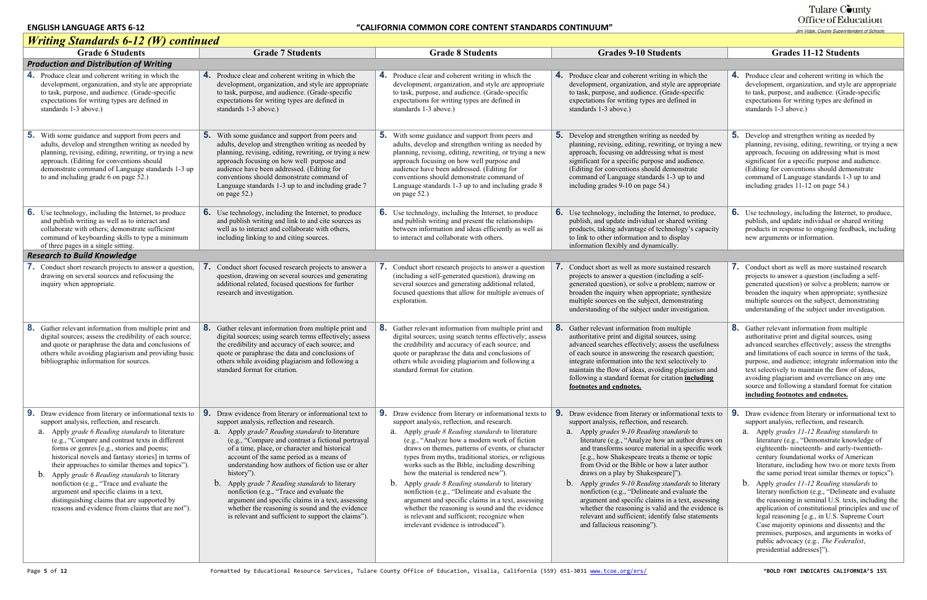#### Tulare County Office of Education

#### *Writing Standards 6-12 (W) continued* Grade 6 Students **Grade 7 Students** Grade 7 Students Grade 8 Students Grades 9-10 Students *Production and Distribution of Writing* **4.** Produce clear and coherent writing in which the development, organization, and style are appropriate to task, purpose, and audience. (Grade-specific expectations for writing types are defined in standards 1-3 above.) **4.** Produce clear and coherent writing in which the development, organization, and style are appropriate to task, purpose, and audience. (Grade-specific expectations for writing types are defined in standards 1-3 above.) **4.** Produce clear and coherent writing in which the development, organization, and style are appropriate to task, purpose, and audience. (Grade-specific expectations for writing types are defined in standards 1-3 above.) **4.** Produce clear and coherent writing in which the the development, organization, and style are to task, purpose, and audience. (Gradeexpectations for writing types are defin standards 1-3 above.) **5.** With some guidance and support from peers and adults, develop and strengthen writing as needed by planning, revising, editing, rewriting, or trying a new approach. (Editing for conventions should demonstrate command of Language standards 1-3 up to and including grade 6 on page 52.) **5.** With some guidance and support from peers and adults, develop and strengthen writing as needed by planning, revising, editing, rewriting, or trying a new approach focusing on how well purpose and audience have been addressed. (Editing for conventions should demonstrate command of Language standards 1-3 up to and including grade 7 on page 52.) **5.** With some guidance and support from peers and adults, develop and strengthen writing as needed by planning, revising, editing, rewriting, or trying a new approach focusing on how well purpose and audience have been addressed. (Editing for conventions should demonstrate command of Language standards 1-3 up to and including grade 8 on page 52.) **5.** Develop and strengthen writing as need planning, revising, editing, rewriting, or approach, focusing on addressing what significant for a specific purpose and au (Editing for conventions should demon command of Language standards 1-3 u including grades 9-10 on page 54.) **6.** Use technology, including the Internet, to produce and publish writing as well as to interact and collaborate with others; demonstrate sufficient command of keyboarding skills to type a minimum of three pages in a single sitting. **6.** Use technology, including the Internet, to produce and publish writing and link to and cite sources as well as to interact and collaborate with others, including linking to and citing sources. **6.** Use technology, including the Internet, to produce and publish writing and present the relationships between information and ideas efficiently as well as to interact and collaborate with others. **6.** Use technology, including the Internet, publish, and update individual or shared products, taking advantage of technology to link to other information and to displ information flexibly and dynamically. *Research to Build Knowledge* **7.** Conduct short research projects to answer a question, drawing on several sources and refocusing the inquiry when appropriate. **7.** Conduct short focused research projects to answer a question, drawing on several sources and generating additional related, focused questions for further research and investigation. **7.** Conduct short research projects to answer a question (including a self-generated question), drawing on several sources and generating additional related, focused questions that allow for multiple avenues of exploration. **7.** Conduct short as well as more sustained projects to answer a question (including generated question), or solve a problem broaden the inquiry when appropriate; multiple sources on the subject, demon understanding of the subject under investment **8.** Gather relevant information from multiple print and digital sources; assess the credibility of each source; and quote or paraphrase the data and conclusions of others while avoiding plagiarism and providing basic bibliographic information for sources. **8.** Gather relevant information from multiple print and digital sources; using search terms effectively; assess the credibility and accuracy of each source; and quote or paraphrase the data and conclusions of others while avoiding plagiarism and following a standard format for citation. **8.** Gather relevant information from multiple print and digital sources; using search terms effectively; assess the credibility and accuracy of each source; and quote or paraphrase the data and conclusions of others while avoiding plagiarism and following a standard format for citation. **8.** Gather relevant information from mult authoritative print and digital sources, advanced searches effectively; assess the of each source in answering the research integrate information into the text selection maintain the flow of ideas, avoiding pl following a standard format for citation **footnotes and endnotes.9.** Draw evidence from literary or informational texts to **9.** Draw evidence from literary or informational text to support analysis, reflection, and research. a. Apply *grade 6 Reading standards* to literature (e.g., "Compare and contrast texts in different forms or genres [e.g., stories and poems; historical novels and fantasy stories] in terms of their approaches to similar themes and topics"). b. Apply *grade 6 Reading standards* to literary nonfiction (e.g., "Trace and evaluate the argument and specific claims in a text, distinguishing claims that are supported by reasons and evidence from claims that are not"). support analysis, reflection and research. a. Apply *grade7 Reading standards* to literature (e.g., "Compare and contrast a fictional portrayal of a time, place, or character and historical account of the same period as a means of understanding how authors of fiction use or alter history"). b. Apply *grade 7 Reading standards* to literary nonfiction (e.g., "Trace and evaluate the argument and specific claims in a text, assessing whether the reasoning is sound and the evidence is relevant and sufficient to support the claims"). **9.** Draw evidence from literary or informational texts to **9.** Draw evidence from literary or informational texts to support analysis, reflection, and research. a. Apply *grade 8 Reading standards* to literature (e.g., "Analyze how a modern work of fiction draws on themes, patterns of events, or character types from myths, traditional stories, or religious works such as the Bible, including describing how the material is rendered new"). b. Apply *grade 8 Reading standards* to literary nonfiction (e.g., "Delineate and evaluate the argument and specific claims in a text, assessing whether the reasoning is sound and the evidence is relevant and sufficient; recognize when irrelevant evidence is introduced"). support analysis, reflection, and research. a. Apply *grades 9-10 Reading standards* to literature (e.g., "Analyze how an au and transforms source material in a [e.g., how Shakespeare treats a there from Ovid or the Bible or how a lat draws on a play by Shakespeare]"). b. Apply *grades 9-10 Reading standards* to literary nonfiction (e.g., "Delineate and evaluated argument and specific claims in a to whether the reasoning is valid and relevant and sufficient; identify fals and fallacious reasoning").

|                                                                                                                                                                                                        | <b>Grades 11-12 Students</b>                                                                                                                                                                                                                                                                                                                                                                                                                                                                                                                                                                                                                                                                                                                                                                                                                              |
|--------------------------------------------------------------------------------------------------------------------------------------------------------------------------------------------------------|-----------------------------------------------------------------------------------------------------------------------------------------------------------------------------------------------------------------------------------------------------------------------------------------------------------------------------------------------------------------------------------------------------------------------------------------------------------------------------------------------------------------------------------------------------------------------------------------------------------------------------------------------------------------------------------------------------------------------------------------------------------------------------------------------------------------------------------------------------------|
|                                                                                                                                                                                                        |                                                                                                                                                                                                                                                                                                                                                                                                                                                                                                                                                                                                                                                                                                                                                                                                                                                           |
| which the<br>re appropriate<br>specific<br>ed in                                                                                                                                                       | 4.<br>Produce clear and coherent writing in which the<br>development, organization, and style are appropriate<br>to task, purpose, and audience. (Grade-specific<br>expectations for writing types are defined in<br>standards 1-3 above.)                                                                                                                                                                                                                                                                                                                                                                                                                                                                                                                                                                                                                |
| ded by<br>or trying a new<br>is most<br>udience.<br>istrate<br>p to and                                                                                                                                | 5.<br>Develop and strengthen writing as needed by<br>planning, revising, editing, rewriting, or trying a new<br>approach, focusing on addressing what is most<br>significant for a specific purpose and audience.<br>(Editing for conventions should demonstrate<br>command of Language standards 1-3 up to and<br>including grades 11-12 on page 54.)                                                                                                                                                                                                                                                                                                                                                                                                                                                                                                    |
| to produce,<br>d writing<br>gy's capacity<br>lay                                                                                                                                                       | 6.<br>Use technology, including the Internet, to produce,<br>publish, and update individual or shared writing<br>products in response to ongoing feedback, including<br>new arguments or information.                                                                                                                                                                                                                                                                                                                                                                                                                                                                                                                                                                                                                                                     |
|                                                                                                                                                                                                        |                                                                                                                                                                                                                                                                                                                                                                                                                                                                                                                                                                                                                                                                                                                                                                                                                                                           |
| d research<br>g a self-<br>n; narrow or<br>synthesize<br>strating<br>estigation.<br>iple                                                                                                               | 7.<br>Conduct short as well as more sustained research<br>projects to answer a question (including a self-<br>generated question) or solve a problem; narrow or<br>broaden the inquiry when appropriate; synthesize<br>multiple sources on the subject, demonstrating<br>understanding of the subject under investigation.<br>8.<br>Gather relevant information from multiple                                                                                                                                                                                                                                                                                                                                                                                                                                                                             |
| using<br>he usefulness<br>ch question;<br>ctively to<br>agiarism and<br>n including                                                                                                                    | authoritative print and digital sources, using<br>advanced searches effectively; assess the strengths<br>and limitations of each source in terms of the task,<br>purpose, and audience; integrate information into the<br>text selectively to maintain the flow of ideas,<br>avoiding plagiarism and overreliance on any one<br>source and following a standard format for citation<br>including footnotes and endnotes.                                                                                                                                                                                                                                                                                                                                                                                                                                  |
| ational texts to<br>ch.<br><i>rds</i> to<br>uthor draws on<br>specific work<br>me or topic<br>ter author<br><i>rds</i> to literary<br>aluate the<br>ext, assessing<br>the evidence is<br>se statements | 9.<br>Draw evidence from literary or informational text to<br>support analysis, reflection, and research.<br>Apply grades 11-12 Reading standards to<br>a.<br>literature (e.g., "Demonstrate knowledge of<br>eighteenth- nineteenth- and early-twentieth-<br>century foundational works of American<br>literature, including how two or more texts from<br>the same period treat similar themes or topics").<br>b.<br>Apply grades 11-12 Reading standards to<br>literary nonfiction (e.g., "Delineate and evaluate<br>the reasoning in seminal U.S. texts, including the<br>application of constitutional principles and use of<br>legal reasoning [e.g., in U.S. Supreme Court<br>Case majority opinions and dissents) and the<br>premises, purposes, and arguments in works of<br>public advocacy (e.g., The Federalist,<br>presidential addresses]"). |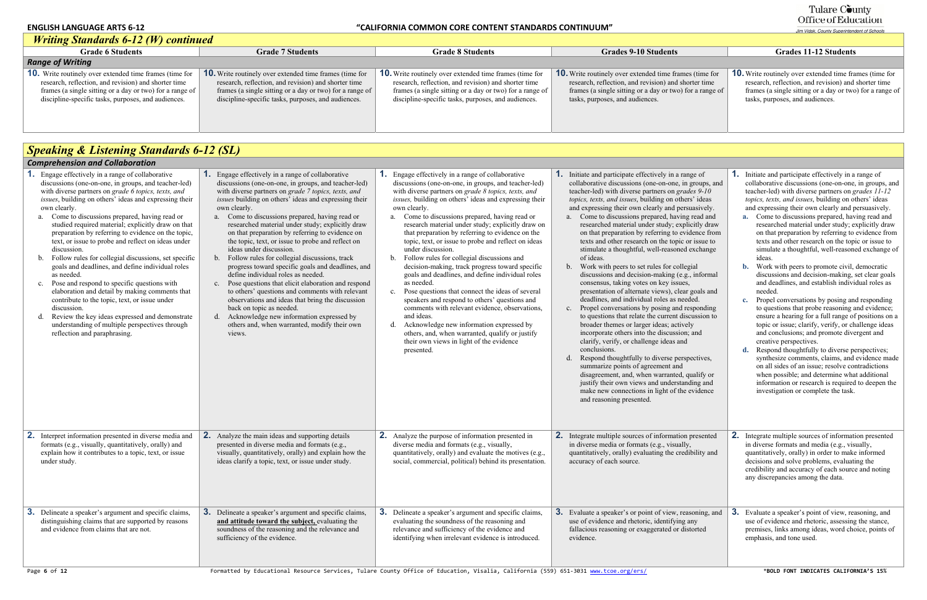#### **ENGLISH LANGUAGE ARTS 6-12**

#### **LANGUAGE ARTS 6‐12 "CALIFORNIA COMMON CORE CONTENT STANDARDS CONTINUUM"**

| <b>Writing Standards 6-12 (W) continued</b>                                                                                                                                                                                               |                                                                                                                                                                                                                                           |                                                                                                                                                                                                                                           |                                                                                                                                                                                                                       |                                                                                                                                                                                |
|-------------------------------------------------------------------------------------------------------------------------------------------------------------------------------------------------------------------------------------------|-------------------------------------------------------------------------------------------------------------------------------------------------------------------------------------------------------------------------------------------|-------------------------------------------------------------------------------------------------------------------------------------------------------------------------------------------------------------------------------------------|-----------------------------------------------------------------------------------------------------------------------------------------------------------------------------------------------------------------------|--------------------------------------------------------------------------------------------------------------------------------------------------------------------------------|
| <b>Grade 6 Students</b>                                                                                                                                                                                                                   | <b>Grade 7 Students</b>                                                                                                                                                                                                                   | <b>Grade 8 Students</b>                                                                                                                                                                                                                   | <b>Grades 9-10 Students</b>                                                                                                                                                                                           | <b>Grades 11-12 Students</b>                                                                                                                                                   |
| <b>Range of Writing</b>                                                                                                                                                                                                                   |                                                                                                                                                                                                                                           |                                                                                                                                                                                                                                           |                                                                                                                                                                                                                       |                                                                                                                                                                                |
| <b>10.</b> Write routinely over extended time frames (time for<br>research, reflection, and revision) and shorter time<br>frames (a single sitting or a day or two) for a range of<br>discipline-specific tasks, purposes, and audiences. | <b>10.</b> Write routinely over extended time frames (time for<br>research, reflection, and revision) and shorter time<br>frames (a single sitting or a day or two) for a range of<br>discipline-specific tasks, purposes, and audiences. | <b>10.</b> Write routinely over extended time frames (time for<br>research, reflection, and revision) and shorter time<br>frames (a single sitting or a day or two) for a range of<br>discipline-specific tasks, purposes, and audiences. | <b>10.</b> Write routinely over extended time frames (time for<br>research, reflection, and revision) and shorter time<br>frames (a single sitting or a day or two) for a range of<br>tasks, purposes, and audiences. | <b>10.</b> Write routinely over extended time fra<br>research, reflection, and revision) and s<br>frames (a single sitting or a day or two)<br>tasks, purposes, and audiences. |

|                                                   | <b>Grades 11-12 Students</b>                                                                                                                                                                                          |
|---------------------------------------------------|-----------------------------------------------------------------------------------------------------------------------------------------------------------------------------------------------------------------------|
|                                                   |                                                                                                                                                                                                                       |
| mes (time for<br>shorter time<br>) for a range of | <b>10.</b> Write routinely over extended time frames (time for<br>research, reflection, and revision) and shorter time<br>frames (a single sitting or a day or two) for a range of<br>tasks, purposes, and audiences. |

## *Speaking & Listening Standards 6-12 (SL)*

| <b>Comprehension and Collaboration</b>                                                                                                                                                                                                                                                                                                                                                                                                                                                                                                                                                                                                                                                                                                                                                                                                                                                                                              |                                                                                                                                                                                                                                                                                                                                                                                                                                                                                                                                                                                                                                                                                                                                                                                                                                                                                                                                                           |                                                                                                                                                                                                                                                                                                                                                                                                                                                                                                                                                                                                                                                                                                                                                                                                                                                                                                                                                                                            |                                                                                                                                                                                                                                                                                                                                                                                                                                                                                                                                                                                                                                                                                                                                                                                                                                                                                                                                                                                                                                                                                                                                                                                                                                                                                                                                                                         |                                                                                                                                                                                                                                                                                                                                                                                                                                                                                                                                                                                                                                                                                                                                                                                                                                                                                                                                                                                                                                                                                                                                                                                                                                                                                                                                                       |
|-------------------------------------------------------------------------------------------------------------------------------------------------------------------------------------------------------------------------------------------------------------------------------------------------------------------------------------------------------------------------------------------------------------------------------------------------------------------------------------------------------------------------------------------------------------------------------------------------------------------------------------------------------------------------------------------------------------------------------------------------------------------------------------------------------------------------------------------------------------------------------------------------------------------------------------|-----------------------------------------------------------------------------------------------------------------------------------------------------------------------------------------------------------------------------------------------------------------------------------------------------------------------------------------------------------------------------------------------------------------------------------------------------------------------------------------------------------------------------------------------------------------------------------------------------------------------------------------------------------------------------------------------------------------------------------------------------------------------------------------------------------------------------------------------------------------------------------------------------------------------------------------------------------|--------------------------------------------------------------------------------------------------------------------------------------------------------------------------------------------------------------------------------------------------------------------------------------------------------------------------------------------------------------------------------------------------------------------------------------------------------------------------------------------------------------------------------------------------------------------------------------------------------------------------------------------------------------------------------------------------------------------------------------------------------------------------------------------------------------------------------------------------------------------------------------------------------------------------------------------------------------------------------------------|-------------------------------------------------------------------------------------------------------------------------------------------------------------------------------------------------------------------------------------------------------------------------------------------------------------------------------------------------------------------------------------------------------------------------------------------------------------------------------------------------------------------------------------------------------------------------------------------------------------------------------------------------------------------------------------------------------------------------------------------------------------------------------------------------------------------------------------------------------------------------------------------------------------------------------------------------------------------------------------------------------------------------------------------------------------------------------------------------------------------------------------------------------------------------------------------------------------------------------------------------------------------------------------------------------------------------------------------------------------------------|-------------------------------------------------------------------------------------------------------------------------------------------------------------------------------------------------------------------------------------------------------------------------------------------------------------------------------------------------------------------------------------------------------------------------------------------------------------------------------------------------------------------------------------------------------------------------------------------------------------------------------------------------------------------------------------------------------------------------------------------------------------------------------------------------------------------------------------------------------------------------------------------------------------------------------------------------------------------------------------------------------------------------------------------------------------------------------------------------------------------------------------------------------------------------------------------------------------------------------------------------------------------------------------------------------------------------------------------------------|
| <b>1.</b> Engage effectively in a range of collaborative<br>discussions (one-on-one, in groups, and teacher-led)<br>with diverse partners on grade 6 topics, texts, and<br>issues, building on others' ideas and expressing their<br>own clearly.<br>a. Come to discussions prepared, having read or<br>studied required material; explicitly draw on that<br>preparation by referring to evidence on the topic,<br>text, or issue to probe and reflect on ideas under<br>discussion.<br>Follow rules for collegial discussions, set specific<br>goals and deadlines, and define individual roles<br>as needed.<br>Pose and respond to specific questions with<br>$c_{\cdot}$<br>elaboration and detail by making comments that<br>contribute to the topic, text, or issue under<br>discussion.<br>Review the key ideas expressed and demonstrate<br>understanding of multiple perspectives through<br>reflection and paraphrasing. | Engage effectively in a range of collaborative<br>discussions (one-on-one, in groups, and teacher-led)<br>with diverse partners on grade 7 topics, texts, and<br>issues building on others' ideas and expressing their<br>own clearly.<br>a. Come to discussions prepared, having read or<br>researched material under study; explicitly draw<br>on that preparation by referring to evidence on<br>the topic, text, or issue to probe and reflect on<br>ideas under discussion.<br>Follow rules for collegial discussions, track<br>$\mathbf{b}$ .<br>progress toward specific goals and deadlines, and<br>define individual roles as needed.<br>Pose questions that elicit elaboration and respond<br>$c$ .<br>to others' questions and comments with relevant<br>observations and ideas that bring the discussion<br>back on topic as needed.<br>d. Acknowledge new information expressed by<br>others and, when warranted, modify their own<br>views. | <b>1.</b> Engage effectively in a range of collaborative<br>discussions (one-on-one, in groups, and teacher-led)<br>with diverse partners on grade 8 topics, texts, and<br>issues, building on others' ideas and expressing their<br>own clearly.<br>a. Come to discussions prepared, having read or<br>research material under study; explicitly draw on<br>that preparation by referring to evidence on the<br>topic, text, or issue to probe and reflect on ideas<br>under discussion.<br>Follow rules for collegial discussions and<br>decision-making, track progress toward specific<br>goals and deadlines, and define individual roles<br>as needed.<br>Pose questions that connect the ideas of several<br>speakers and respond to others' questions and<br>comments with relevant evidence, observations,<br>and ideas.<br>Acknowledge new information expressed by<br>others, and, when warranted, qualify or justify<br>their own views in light of the evidence<br>presented. | <b>1.</b> Initiate and participate effectively in a range of<br>collaborative discussions (one-on-one, in groups, and<br>teacher-led) with diverse partners on grades 9-10<br>topics, texts, and issues, building on others' ideas<br>and expressing their own clearly and persuasively.<br>a. Come to discussions prepared, having read and<br>researched material under study; explicitly draw<br>on that preparation by referring to evidence from<br>texts and other research on the topic or issue to<br>stimulate a thoughtful, well-reasoned exchange<br>of ideas.<br>Work with peers to set rules for collegial<br>$b_{1}$<br>discussions and decision-making (e.g., informal<br>consensus, taking votes on key issues,<br>presentation of alternate views), clear goals and<br>deadlines, and individual roles as needed.<br>c. Propel conversations by posing and responding<br>to questions that relate the current discussion to<br>broader themes or larger ideas; actively<br>incorporate others into the discussion; and<br>clarify, verify, or challenge ideas and<br>conclusions.<br>Respond thoughtfully to diverse perspectives,<br>summarize points of agreement and<br>disagreement, and, when warranted, qualify or<br>justify their own views and understanding and<br>make new connections in light of the evidence<br>and reasoning presented. | Initiate and participate effectively in a range of<br>1.<br>collaborative discussions (one-on-one, in groups,<br>teacher-led) with diverse partners on grades 11-1.<br>topics, texts, and issues, building on others' ideas<br>and expressing their own clearly and persuasively<br>a. Come to discussions prepared, having read an<br>researched material under study; explicitly dra<br>on that preparation by referring to evidence fr<br>texts and other research on the topic or issue t<br>simulate a thoughtful, well-reasoned exchange<br>ideas.<br><b>b.</b> Work with peers to promote civil, democratic<br>discussions and decision-making, set clear go:<br>and deadlines, and establish individual roles a<br>needed.<br>Propel conversations by posing and respondin<br>$c_{\bullet}$<br>to questions that probe reasoning and evidenc<br>ensure a hearing for a full range of positions of<br>topic or issue; clarify, verify, or challenge idea<br>and conclusions; and promote divergent and<br>creative perspectives.<br>Respond thoughtfully to diverse perspectives;<br>$\mathbf{d}$ .<br>synthesize comments, claims, and evidence m<br>on all sides of an issue; resolve contradictions<br>when possible; and determine what additional<br>information or research is required to deepen<br>investigation or complete the task. |
| <b>2.</b> Interpret information presented in diverse media and<br>formats (e.g., visually, quantitatively, orally) and<br>explain how it contributes to a topic, text, or issue<br>under study.                                                                                                                                                                                                                                                                                                                                                                                                                                                                                                                                                                                                                                                                                                                                     | 2.<br>Analyze the main ideas and supporting details<br>presented in diverse media and formats (e.g.,<br>visually, quantitatively, orally) and explain how the<br>ideas clarify a topic, text, or issue under study.                                                                                                                                                                                                                                                                                                                                                                                                                                                                                                                                                                                                                                                                                                                                       | <b>2.</b> Analyze the purpose of information presented in<br>diverse media and formats (e.g., visually,<br>quantitatively, orally) and evaluate the motives (e.g.,<br>social, commercial, political) behind its presentation.                                                                                                                                                                                                                                                                                                                                                                                                                                                                                                                                                                                                                                                                                                                                                              | 2. Integrate multiple sources of information presented<br>in diverse media or formats (e.g., visually,<br>quantitatively, orally) evaluating the credibility and<br>accuracy of each source.                                                                                                                                                                                                                                                                                                                                                                                                                                                                                                                                                                                                                                                                                                                                                                                                                                                                                                                                                                                                                                                                                                                                                                            | 2.<br>Integrate multiple sources of information presente<br>in diverse formats and media (e.g., visually,<br>quantitatively, orally) in order to make informed<br>decisions and solve problems, evaluating the<br>credibility and accuracy of each source and noting<br>any discrepancies among the data.                                                                                                                                                                                                                                                                                                                                                                                                                                                                                                                                                                                                                                                                                                                                                                                                                                                                                                                                                                                                                                             |
| <b>3.</b> Delineate a speaker's argument and specific claims,<br>distinguishing claims that are supported by reasons<br>and evidence from claims that are not.                                                                                                                                                                                                                                                                                                                                                                                                                                                                                                                                                                                                                                                                                                                                                                      | <b>3.</b> Delineate a speaker's argument and specific claims,<br>and attitude toward the subject, evaluating the<br>soundness of the reasoning and the relevance and<br>sufficiency of the evidence.                                                                                                                                                                                                                                                                                                                                                                                                                                                                                                                                                                                                                                                                                                                                                      | <b>3.</b> Delineate a speaker's argument and specific claims,<br>evaluating the soundness of the reasoning and<br>relevance and sufficiency of the evidence and<br>identifying when irrelevant evidence is introduced.                                                                                                                                                                                                                                                                                                                                                                                                                                                                                                                                                                                                                                                                                                                                                                     | <b>3.</b> Evaluate a speaker's or point of view, reasoning, and<br>use of evidence and rhetoric, identifying any<br>fallacious reasoning or exaggerated or distorted<br>evidence.                                                                                                                                                                                                                                                                                                                                                                                                                                                                                                                                                                                                                                                                                                                                                                                                                                                                                                                                                                                                                                                                                                                                                                                       | Evaluate a speaker's point of view, reasoning, and<br>use of evidence and rhetoric, assessing the stance.<br>premises, links among ideas, word choice, points<br>emphasis, and tone used.                                                                                                                                                                                                                                                                                                                                                                                                                                                                                                                                                                                                                                                                                                                                                                                                                                                                                                                                                                                                                                                                                                                                                             |
| Page 6 of 12                                                                                                                                                                                                                                                                                                                                                                                                                                                                                                                                                                                                                                                                                                                                                                                                                                                                                                                        |                                                                                                                                                                                                                                                                                                                                                                                                                                                                                                                                                                                                                                                                                                                                                                                                                                                                                                                                                           | Formatted by Educational Resource Services, Tulare County Office of Education, Visalia, California (559) 651-3031 www.tcoe.org/ers/                                                                                                                                                                                                                                                                                                                                                                                                                                                                                                                                                                                                                                                                                                                                                                                                                                                        |                                                                                                                                                                                                                                                                                                                                                                                                                                                                                                                                                                                                                                                                                                                                                                                                                                                                                                                                                                                                                                                                                                                                                                                                                                                                                                                                                                         | *BOLD FONT INDICATES CALIFORNIA'S 15%                                                                                                                                                                                                                                                                                                                                                                                                                                                                                                                                                                                                                                                                                                                                                                                                                                                                                                                                                                                                                                                                                                                                                                                                                                                                                                                 |

# Tulare County<br>Office of Education

| range of<br>in groups, and<br>rades 9-10<br>hers' ideas<br>ersuasively.<br>ing read and<br>splicitly draw<br>evidence from<br>c or issue to<br>ed exchange<br>llegial<br>e.g., informal<br>ies,<br>ear goals and<br>eeded.<br>d responding<br>discussion to<br>ively<br>on; and<br>nd<br>rspectives,<br>ı<br>d, qualify or<br>tanding and<br>he evidence<br>on presented<br>illy,<br>edibility and | 1.<br>Initiate and participate effectively in a range of<br>collaborative discussions (one-on-one, in groups, and<br>teacher-led) with diverse partners on grades 11-12<br>topics, texts, and issues, building on others' ideas<br>and expressing their own clearly and persuasively.<br>Come to discussions prepared, having read and<br>a.<br>researched material under study; explicitly draw<br>on that preparation by referring to evidence from<br>texts and other research on the topic or issue to<br>simulate a thoughtful, well-reasoned exchange of<br>ideas.<br>Work with peers to promote civil, democratic<br>b.<br>discussions and decision-making, set clear goals<br>and deadlines, and establish individual roles as<br>needed.<br>Propel conversations by posing and responding<br>$\mathbf{c}$ .<br>to questions that probe reasoning and evidence;<br>ensure a hearing for a full range of positions on a<br>topic or issue; clarify, verify, or challenge ideas<br>and conclusions; and promote divergent and<br>creative perspectives.<br>d.<br>Respond thoughtfully to diverse perspectives;<br>synthesize comments, claims, and evidence made<br>on all sides of an issue; resolve contradictions<br>when possible; and determine what additional<br>information or research is required to deepen the<br>investigation or complete the task.<br>2.<br>Integrate multiple sources of information presented<br>in diverse formats and media (e.g., visually,<br>quantitatively, orally) in order to make informed<br>decisions and solve problems, evaluating the<br>credibility and accuracy of each source and noting<br>any discrepancies among the data. |
|----------------------------------------------------------------------------------------------------------------------------------------------------------------------------------------------------------------------------------------------------------------------------------------------------------------------------------------------------------------------------------------------------|--------------------------------------------------------------------------------------------------------------------------------------------------------------------------------------------------------------------------------------------------------------------------------------------------------------------------------------------------------------------------------------------------------------------------------------------------------------------------------------------------------------------------------------------------------------------------------------------------------------------------------------------------------------------------------------------------------------------------------------------------------------------------------------------------------------------------------------------------------------------------------------------------------------------------------------------------------------------------------------------------------------------------------------------------------------------------------------------------------------------------------------------------------------------------------------------------------------------------------------------------------------------------------------------------------------------------------------------------------------------------------------------------------------------------------------------------------------------------------------------------------------------------------------------------------------------------------------------------------------------------------------------------------------------------------------|
| reasoning, and<br>ng any<br>distorted                                                                                                                                                                                                                                                                                                                                                              | 3.<br>Evaluate a speaker's point of view, reasoning, and<br>use of evidence and rhetoric, assessing the stance,<br>premises, links among ideas, word choice, points of<br>emphasis, and tone used.                                                                                                                                                                                                                                                                                                                                                                                                                                                                                                                                                                                                                                                                                                                                                                                                                                                                                                                                                                                                                                                                                                                                                                                                                                                                                                                                                                                                                                                                                   |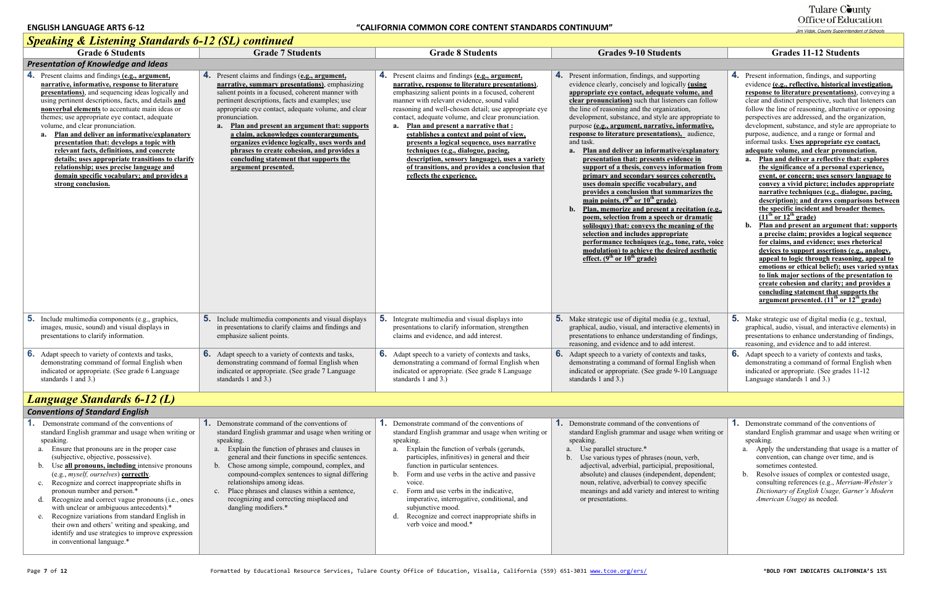| <b>Speaking &amp; Listening Standards 0-12 (SL) Continued</b>                                                                                                                                                                                                                                                                                                                                                                                                                                                                                                                                                                                                     |                                                                                                                                                                                                                                                                                                                                                                                                                                                                                                                                                   |                                                                                                                                                                                                                                                                                                                                                                                                                                                                                                                                                                                                                                       |                                                                                                                                                                                                                                                                                                                                                                                                                                                                                                                                                                                                                                                                                                                                                                                                                                                                                                                                                                                                                                                                                                             |                                                                                                                                                                                                                                                                                                                                                                                                                                                                                                                                                                                                                                                                                                                                                                                                                                                                                                                                                                                                                                                                                                                                                                   |
|-------------------------------------------------------------------------------------------------------------------------------------------------------------------------------------------------------------------------------------------------------------------------------------------------------------------------------------------------------------------------------------------------------------------------------------------------------------------------------------------------------------------------------------------------------------------------------------------------------------------------------------------------------------------|---------------------------------------------------------------------------------------------------------------------------------------------------------------------------------------------------------------------------------------------------------------------------------------------------------------------------------------------------------------------------------------------------------------------------------------------------------------------------------------------------------------------------------------------------|---------------------------------------------------------------------------------------------------------------------------------------------------------------------------------------------------------------------------------------------------------------------------------------------------------------------------------------------------------------------------------------------------------------------------------------------------------------------------------------------------------------------------------------------------------------------------------------------------------------------------------------|-------------------------------------------------------------------------------------------------------------------------------------------------------------------------------------------------------------------------------------------------------------------------------------------------------------------------------------------------------------------------------------------------------------------------------------------------------------------------------------------------------------------------------------------------------------------------------------------------------------------------------------------------------------------------------------------------------------------------------------------------------------------------------------------------------------------------------------------------------------------------------------------------------------------------------------------------------------------------------------------------------------------------------------------------------------------------------------------------------------|-------------------------------------------------------------------------------------------------------------------------------------------------------------------------------------------------------------------------------------------------------------------------------------------------------------------------------------------------------------------------------------------------------------------------------------------------------------------------------------------------------------------------------------------------------------------------------------------------------------------------------------------------------------------------------------------------------------------------------------------------------------------------------------------------------------------------------------------------------------------------------------------------------------------------------------------------------------------------------------------------------------------------------------------------------------------------------------------------------------------------------------------------------------------|
| <b>Grade 6 Students</b>                                                                                                                                                                                                                                                                                                                                                                                                                                                                                                                                                                                                                                           | <b>Grade 7 Students</b>                                                                                                                                                                                                                                                                                                                                                                                                                                                                                                                           | <b>Grade 8 Students</b>                                                                                                                                                                                                                                                                                                                                                                                                                                                                                                                                                                                                               | <b>Grades 9-10 Students</b>                                                                                                                                                                                                                                                                                                                                                                                                                                                                                                                                                                                                                                                                                                                                                                                                                                                                                                                                                                                                                                                                                 | <b>Grades 11-12 Students</b>                                                                                                                                                                                                                                                                                                                                                                                                                                                                                                                                                                                                                                                                                                                                                                                                                                                                                                                                                                                                                                                                                                                                      |
| <b>Presentation of Knowledge and Ideas</b>                                                                                                                                                                                                                                                                                                                                                                                                                                                                                                                                                                                                                        |                                                                                                                                                                                                                                                                                                                                                                                                                                                                                                                                                   |                                                                                                                                                                                                                                                                                                                                                                                                                                                                                                                                                                                                                                       |                                                                                                                                                                                                                                                                                                                                                                                                                                                                                                                                                                                                                                                                                                                                                                                                                                                                                                                                                                                                                                                                                                             |                                                                                                                                                                                                                                                                                                                                                                                                                                                                                                                                                                                                                                                                                                                                                                                                                                                                                                                                                                                                                                                                                                                                                                   |
| 4. Present claims and findings (e.g., argument,<br>narrative, informative, response to literature<br>presentations), and sequencing ideas logically and<br>using pertinent descriptions, facts, and details and<br>nonverbal elements to accentuate main ideas or<br>themes; use appropriate eye contact, adequate<br>volume, and clear pronunciation.<br>Plan and deliver an informative/explanatory<br>presentation that: develops a topic with<br>relevant facts, definitions, and concrete<br>details; uses appropriate transitions to clarify<br>relationship; uses precise language and<br>domain specific vocabulary; and provides a<br>strong conclusion. | 4. Present claims and findings (e.g., argument,<br>narrative, summary presentations), emphasizing<br>salient points in a focused, coherent manner with<br>pertinent descriptions, facts and examples; use<br>appropriate eye contact, adequate volume, and clear<br>pronunciation.<br>Plan and present an argument that: supports<br>a.<br>a claim, acknowledges counterarguments,<br>organizes evidence logically, uses words and<br>phrases to create cohesion, and provides a<br>concluding statement that supports the<br>argument presented. | 4. Present claims and findings (e.g., argument,<br>narrative, response to literature presentations).<br>emphasizing salient points in a focused, coherent<br>manner with relevant evidence, sound valid<br>reasoning and well-chosen detail; use appropriate eye<br>contact, adequate volume, and clear pronunciation.<br>Plan and present a narrative that :<br>a.<br>establishes a context and point of view,<br>presents a logical sequence, uses narrative<br>techniques (e.g., dialogue, pacing,<br>description, sensory language), uses a variety<br>of transitions, and provides a conclusion that<br>reflects the experience. | <b>4.</b> Present information, findings, and supporting<br>evidence clearly, concisely and logically (using<br>appropriate eye contact, adequate volume, and<br>clear pronunciation) such that listeners can follow<br>the line of reasoning and the organization,<br>development, substance, and style are appropriate to<br>purpose (e.g., argument, narrative, informative,<br>response to literature presentations), audience,<br>and task.<br>a. Plan and deliver an informative/explanatory<br>presentation that: presents evidence in<br>support of a thesis, conveys information from<br>primary and secondary sources coherently,<br>uses domain specific vocabulary, and<br>provides a conclusion that summarizes the<br>main points. $(9th$ or $10th$ grade),<br>b. Plan, memorize and present a recitation (e.g.,<br>poem, selection from a speech or dramatic<br>soliloguy) that: conveys the meaning of the<br>selection and includes appropriate<br>performance techniques (e.g., tone, rate, voice<br>modulation) to achieve the desired aesthetic<br>effect. $(9^{th}$ or $10^{th}$ grade) | 4. Present information, findings, and suppo<br>evidence (e.g., reflective, historical inv<br>response to literature presentations),<br>clear and distinct perspective, such that I<br>follow the line of reasoning, alternative<br>perspectives are addressed, and the orga<br>development, substance, and style are ap<br>purpose, audience, and a range or formal<br>informal tasks. Uses appropriate eye co<br>adequate volume, and clear pronuncia<br>a. Plan and deliver a reflective that:<br>the significance of a personal expe<br>event, or concern; uses sensory la<br>convey a vivid picture; includes a<br>narrative techniques (e.g., dialogu<br>description); and draws comparis<br>the specific incident and broader<br>$(11th or 12th grade)$<br>Plan and present an argument the<br>b.<br>a precise claim; provides a logical<br>for claims, and evidence; uses rhe<br>devices to support assertions (e.g.<br>appeal to logic through reasoning<br>emotions or ethical belief); uses va<br>to link major sections of the prese<br>create cohesion and clarity; and p<br>concluding statement that suppor<br>argument presented. $(11th or 12th)$ |
| 5.<br>Include multimedia components (e.g., graphics,<br>images, music, sound) and visual displays in<br>presentations to clarify information.                                                                                                                                                                                                                                                                                                                                                                                                                                                                                                                     | <b>5.</b> Include multimedia components and visual displays<br>in presentations to clarify claims and findings and<br>emphasize salient points.                                                                                                                                                                                                                                                                                                                                                                                                   | <b>5.</b> Integrate multimedia and visual displays into<br>presentations to clarify information, strengthen<br>claims and evidence, and add interest.                                                                                                                                                                                                                                                                                                                                                                                                                                                                                 | <b>5.</b> Make strategic use of digital media (e.g., textual,<br>graphical, audio, visual, and interactive elements) in<br>presentations to enhance understanding of findings,<br>reasoning, and evidence and to add interest.                                                                                                                                                                                                                                                                                                                                                                                                                                                                                                                                                                                                                                                                                                                                                                                                                                                                              | <b>5.</b> Make strategic use of digital media (e.g.<br>graphical, audio, visual, and interactive<br>presentations to enhance understanding<br>reasoning, and evidence and to add inter                                                                                                                                                                                                                                                                                                                                                                                                                                                                                                                                                                                                                                                                                                                                                                                                                                                                                                                                                                            |
| 6.<br>Adapt speech to variety of contexts and tasks,<br>demonstrating command of formal English when<br>indicated or appropriate. (See grade 6 Language<br>standards 1 and 3.)                                                                                                                                                                                                                                                                                                                                                                                                                                                                                    | <b>6.</b> Adapt speech to a variety of contexts and tasks,<br>demonstrating command of formal English when<br>indicated or appropriate. (See grade 7 Language<br>standards 1 and 3.)                                                                                                                                                                                                                                                                                                                                                              | <b>6.</b> Adapt speech to a variety of contexts and tasks,<br>demonstrating a command of formal English when<br>indicated or appropriate. (See grade 8 Language<br>standards $1$ and $3$ .)                                                                                                                                                                                                                                                                                                                                                                                                                                           | <b>6.</b> Adapt speech to a variety of contexts and tasks,<br>demonstrating a command of formal English when<br>indicated or appropriate. (See grade 9-10 Language<br>standards $1$ and $3$ .)                                                                                                                                                                                                                                                                                                                                                                                                                                                                                                                                                                                                                                                                                                                                                                                                                                                                                                              | 6.<br>Adapt speech to a variety of contexts and<br>demonstrating a command of formal Eng<br>indicated or appropriate. (See grades 11-<br>Language standards 1 and 3.)                                                                                                                                                                                                                                                                                                                                                                                                                                                                                                                                                                                                                                                                                                                                                                                                                                                                                                                                                                                             |
| <b>Language Standards 6-12 (L)</b>                                                                                                                                                                                                                                                                                                                                                                                                                                                                                                                                                                                                                                |                                                                                                                                                                                                                                                                                                                                                                                                                                                                                                                                                   |                                                                                                                                                                                                                                                                                                                                                                                                                                                                                                                                                                                                                                       |                                                                                                                                                                                                                                                                                                                                                                                                                                                                                                                                                                                                                                                                                                                                                                                                                                                                                                                                                                                                                                                                                                             |                                                                                                                                                                                                                                                                                                                                                                                                                                                                                                                                                                                                                                                                                                                                                                                                                                                                                                                                                                                                                                                                                                                                                                   |
| <b>Conventions of Standard English</b>                                                                                                                                                                                                                                                                                                                                                                                                                                                                                                                                                                                                                            |                                                                                                                                                                                                                                                                                                                                                                                                                                                                                                                                                   |                                                                                                                                                                                                                                                                                                                                                                                                                                                                                                                                                                                                                                       |                                                                                                                                                                                                                                                                                                                                                                                                                                                                                                                                                                                                                                                                                                                                                                                                                                                                                                                                                                                                                                                                                                             |                                                                                                                                                                                                                                                                                                                                                                                                                                                                                                                                                                                                                                                                                                                                                                                                                                                                                                                                                                                                                                                                                                                                                                   |
| Demonstrate command of the conventions of<br>standard English grammar and usage when writing or<br>speaking.<br>a. Ensure that pronouns are in the proper case                                                                                                                                                                                                                                                                                                                                                                                                                                                                                                    | <b>1.</b> Demonstrate command of the conventions of<br>standard English grammar and usage when writing or<br>speaking.<br>a. Explain the function of phrases and clauses in                                                                                                                                                                                                                                                                                                                                                                       | <b>1.</b> Demonstrate command of the conventions of<br>standard English grammar and usage when writing or<br>speaking.<br>a. Explain the function of verbals (gerunds,                                                                                                                                                                                                                                                                                                                                                                                                                                                                | <b>1.</b> Demonstrate command of the conventions of<br>standard English grammar and usage when writing or<br>speaking.<br>a. Use parallel structure.*                                                                                                                                                                                                                                                                                                                                                                                                                                                                                                                                                                                                                                                                                                                                                                                                                                                                                                                                                       | 1.<br>Demonstrate command of the convention<br>standard English grammar and usage wh<br>speaking.<br>a. Apply the understanding that usage i                                                                                                                                                                                                                                                                                                                                                                                                                                                                                                                                                                                                                                                                                                                                                                                                                                                                                                                                                                                                                      |

|                                                                                                                                                                                                                                                                                   | <b>Grades 11-12 Students</b>                                                                                                                                                                                                                                                                                                                                                                                                                                                                                                                                                                                                                                                                                                                                                                                                                                                                                                                                                                                                                                                                                                                                                                                                                                                                                                                                                                                                                                |
|-----------------------------------------------------------------------------------------------------------------------------------------------------------------------------------------------------------------------------------------------------------------------------------|-------------------------------------------------------------------------------------------------------------------------------------------------------------------------------------------------------------------------------------------------------------------------------------------------------------------------------------------------------------------------------------------------------------------------------------------------------------------------------------------------------------------------------------------------------------------------------------------------------------------------------------------------------------------------------------------------------------------------------------------------------------------------------------------------------------------------------------------------------------------------------------------------------------------------------------------------------------------------------------------------------------------------------------------------------------------------------------------------------------------------------------------------------------------------------------------------------------------------------------------------------------------------------------------------------------------------------------------------------------------------------------------------------------------------------------------------------------|
|                                                                                                                                                                                                                                                                                   |                                                                                                                                                                                                                                                                                                                                                                                                                                                                                                                                                                                                                                                                                                                                                                                                                                                                                                                                                                                                                                                                                                                                                                                                                                                                                                                                                                                                                                                             |
| orting<br>y <i>(using</i><br>lume, and<br>s can follow<br>on,<br>ppropriate to<br>formative,<br>_ audience,<br>explanatory<br>nce in:<br>mation from<br>coherently,<br>, and<br>arizes the<br>citation (e.g.,<br>dramatic<br>ning of the<br>te<br>ne, rate, voice<br>ed aesthetic | 4.<br>Present information, findings, and supporting<br>evidence (e.g., reflective, historical investigation,<br>response to literature presentations), conveying a<br>clear and distinct perspective, such that listeners can<br>follow the line of reasoning, alternative or opposing<br>perspectives are addressed, and the organization,<br>development, substance, and style are appropriate to<br>purpose, audience, and a range or formal and<br>informal tasks. Uses appropriate eye contact,<br>adequate volume, and clear pronunciation.<br>Plan and deliver a reflective that: explores<br>a.<br>the significance of a personal experience,<br>event, or concern; uses sensory language to<br>convey a vivid picture; includes appropriate<br>narrative techniques (e.g., dialogue, pacing,<br>description); and draws comparisons between<br>the specific incident and broader themes.<br>$(11th or 12th grade)$<br>$\mathbf{b}$ .<br>Plan and present an argument that: supports<br>a precise claim; provides a logical sequence<br>for claims, and evidence; uses rhetorical<br>devices to support assertions (e.g., analogy,<br>appeal to logic through reasoning, appeal to<br>emotions or ethical belief); uses varied syntax<br>to link major sections of the presentation to<br>create cohesion and clarity; and provides a<br>concluding statement that supports the<br>argument presented. (11 <sup>th</sup> or 12 <sup>th</sup> grade) |
| ,., textual,<br>elements) in<br>of findings,<br>rest.<br>d tasks,<br>nglish when<br>0 Language                                                                                                                                                                                    | 5.<br>Make strategic use of digital media (e.g., textual,<br>graphical, audio, visual, and interactive elements) in<br>presentations to enhance understanding of findings,<br>reasoning, and evidence and to add interest.<br>6.<br>Adapt speech to a variety of contexts and tasks,<br>demonstrating a command of formal English when<br>indicated or appropriate. (See grades 11-12<br>Language standards 1 and 3.)                                                                                                                                                                                                                                                                                                                                                                                                                                                                                                                                                                                                                                                                                                                                                                                                                                                                                                                                                                                                                                       |
|                                                                                                                                                                                                                                                                                   |                                                                                                                                                                                                                                                                                                                                                                                                                                                                                                                                                                                                                                                                                                                                                                                                                                                                                                                                                                                                                                                                                                                                                                                                                                                                                                                                                                                                                                                             |
|                                                                                                                                                                                                                                                                                   |                                                                                                                                                                                                                                                                                                                                                                                                                                                                                                                                                                                                                                                                                                                                                                                                                                                                                                                                                                                                                                                                                                                                                                                                                                                                                                                                                                                                                                                             |
| ons of<br>hen writing or<br>verb,<br>epositional,<br>dependent;<br>specific<br>est to writing                                                                                                                                                                                     | 1.<br>Demonstrate command of the conventions of<br>standard English grammar and usage when writing or<br>speaking.<br>Apply the understanding that usage is a matter of<br>a.<br>convention, can change over time, and is<br>sometimes contested.<br>Resolve issues of complex or contested usage,<br>b.<br>consulting references (e.g., Merriam-Webster's<br>Dictionary of English Usage, Garner's Modern<br>American Usage) as needed.                                                                                                                                                                                                                                                                                                                                                                                                                                                                                                                                                                                                                                                                                                                                                                                                                                                                                                                                                                                                                    |

| speaking.                                   |
|---------------------------------------------|
| Ensure that pronouns are in the proper case |
| (subjective, objective, possessive).        |

- b. Use **all pronouns, including** intensive pronouns (e.g., *myself, ourselves*) **correctly**.
- c. Recognize and correct inappropriate shifts in pronoun number and person.\*
- d. Recognize and correct vague pronouns (i.e., ones with unclear or ambiguous antecedents).\*
- e. Recognize variations from standard English in their own and others' writing and speaking, and identify and use strategies to improve expression in conventional language.\*

subjunctive mood.

general and their functions in specific sentences. b. Chose among simple, compound, complex, and compound-complex sentences to signal differing

relationships among ideas.

c. Place phrases and clauses within a sentence, recognizing and correcting misplaced and

dangling modifiers.\*

participles, infinitives) in general and their

function in particular sentences.

b.

Form and use verbs in the active and passive

voice.

c. Form and use verbs in the indicative, imperative, interrogative, conditional, and

#### Tulare County Office of Education

Jim Vidak, County Superintendent of Schools

d. Recognize and correct inappropriate shifts in

verb voice and mood.\*

b. Use various types of phrases (noun, verb, adjectival, adverbial, participial, pre absolute) and clauses (independent, noun, relative, adverbial) to convey meanings and add variety and intere or presentations.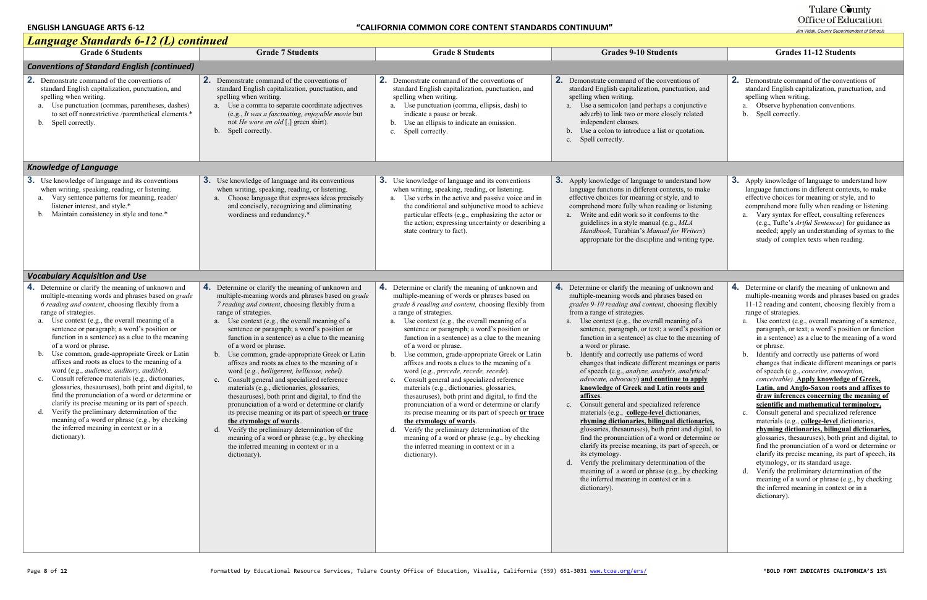| <b>Language Standards 6-12 (L) continued</b>                                                                                                                                                                                                                                                                                                                                                                                                                                                                                                                                                                                                                                                                                                                                                                                                                                                               |                                                                                                                                                                                                                                                                                                                                                                                                                                                                                                                                                                                                                                                                                                                                                                                                                                                                                                                                                                                                   |                                                                                                                                                                                                                                                                                                                                                                                                                                                                                                                                                                                                                                                                                                                                                                                                                                                                                                                                                                                     |                                                                                                                                                                                                                                                                                                                                                                                                                                                                                                                                                                                                                                                                                                                                                                                                                                                                                                                                                                                                                                                                                                                                         |                                                                                                                                                                                                                                                                                                                                                                                                                                                                                                                                                                                                                                                                                                                                                                                                                                                                                                                                                                                                                     |  |  |  |
|------------------------------------------------------------------------------------------------------------------------------------------------------------------------------------------------------------------------------------------------------------------------------------------------------------------------------------------------------------------------------------------------------------------------------------------------------------------------------------------------------------------------------------------------------------------------------------------------------------------------------------------------------------------------------------------------------------------------------------------------------------------------------------------------------------------------------------------------------------------------------------------------------------|---------------------------------------------------------------------------------------------------------------------------------------------------------------------------------------------------------------------------------------------------------------------------------------------------------------------------------------------------------------------------------------------------------------------------------------------------------------------------------------------------------------------------------------------------------------------------------------------------------------------------------------------------------------------------------------------------------------------------------------------------------------------------------------------------------------------------------------------------------------------------------------------------------------------------------------------------------------------------------------------------|-------------------------------------------------------------------------------------------------------------------------------------------------------------------------------------------------------------------------------------------------------------------------------------------------------------------------------------------------------------------------------------------------------------------------------------------------------------------------------------------------------------------------------------------------------------------------------------------------------------------------------------------------------------------------------------------------------------------------------------------------------------------------------------------------------------------------------------------------------------------------------------------------------------------------------------------------------------------------------------|-----------------------------------------------------------------------------------------------------------------------------------------------------------------------------------------------------------------------------------------------------------------------------------------------------------------------------------------------------------------------------------------------------------------------------------------------------------------------------------------------------------------------------------------------------------------------------------------------------------------------------------------------------------------------------------------------------------------------------------------------------------------------------------------------------------------------------------------------------------------------------------------------------------------------------------------------------------------------------------------------------------------------------------------------------------------------------------------------------------------------------------------|---------------------------------------------------------------------------------------------------------------------------------------------------------------------------------------------------------------------------------------------------------------------------------------------------------------------------------------------------------------------------------------------------------------------------------------------------------------------------------------------------------------------------------------------------------------------------------------------------------------------------------------------------------------------------------------------------------------------------------------------------------------------------------------------------------------------------------------------------------------------------------------------------------------------------------------------------------------------------------------------------------------------|--|--|--|
| <b>Grade 6 Students</b>                                                                                                                                                                                                                                                                                                                                                                                                                                                                                                                                                                                                                                                                                                                                                                                                                                                                                    | <b>Grade 7 Students</b>                                                                                                                                                                                                                                                                                                                                                                                                                                                                                                                                                                                                                                                                                                                                                                                                                                                                                                                                                                           | <b>Grade 8 Students</b>                                                                                                                                                                                                                                                                                                                                                                                                                                                                                                                                                                                                                                                                                                                                                                                                                                                                                                                                                             | <b>Grades 9-10 Students</b>                                                                                                                                                                                                                                                                                                                                                                                                                                                                                                                                                                                                                                                                                                                                                                                                                                                                                                                                                                                                                                                                                                             | <b>Grades 11-12 Students</b>                                                                                                                                                                                                                                                                                                                                                                                                                                                                                                                                                                                                                                                                                                                                                                                                                                                                                                                                                                                        |  |  |  |
| <b>Conventions of Standard English (continued)</b>                                                                                                                                                                                                                                                                                                                                                                                                                                                                                                                                                                                                                                                                                                                                                                                                                                                         |                                                                                                                                                                                                                                                                                                                                                                                                                                                                                                                                                                                                                                                                                                                                                                                                                                                                                                                                                                                                   |                                                                                                                                                                                                                                                                                                                                                                                                                                                                                                                                                                                                                                                                                                                                                                                                                                                                                                                                                                                     |                                                                                                                                                                                                                                                                                                                                                                                                                                                                                                                                                                                                                                                                                                                                                                                                                                                                                                                                                                                                                                                                                                                                         |                                                                                                                                                                                                                                                                                                                                                                                                                                                                                                                                                                                                                                                                                                                                                                                                                                                                                                                                                                                                                     |  |  |  |
| 2.<br>Demonstrate command of the conventions of<br>standard English capitalization, punctuation, and<br>spelling when writing.<br>Use punctuation (commas, parentheses, dashes)<br>a.<br>to set off nonrestrictive /parenthetical elements.*<br>b. Spell correctly.                                                                                                                                                                                                                                                                                                                                                                                                                                                                                                                                                                                                                                        | <b>2.</b> Demonstrate command of the conventions of<br>standard English capitalization, punctuation, and<br>spelling when writing.<br>a. Use a comma to separate coordinate adjectives<br>(e.g., It was a fascinating, enjoyable movie but<br>not <i>He wore an old</i> $\lbrack ,\rbrack$ green shirt).<br>b. Spell correctly.                                                                                                                                                                                                                                                                                                                                                                                                                                                                                                                                                                                                                                                                   | <b>2.</b> Demonstrate command of the conventions of<br>standard English capitalization, punctuation, and<br>spelling when writing.<br>a. Use punctuation (comma, ellipsis, dash) to<br>indicate a pause or break.<br>b. Use an ellipsis to indicate an omission.<br>Spell correctly.<br>$c_{\cdot}$                                                                                                                                                                                                                                                                                                                                                                                                                                                                                                                                                                                                                                                                                 | <b>2.</b> Demonstrate command of the conventions of<br>standard English capitalization, punctuation, and<br>spelling when writing.<br>a. Use a semicolon (and perhaps a conjunctive<br>adverb) to link two or more closely related<br>independent clauses.<br>Use a colon to introduce a list or quotation.<br>c. Spell correctly.                                                                                                                                                                                                                                                                                                                                                                                                                                                                                                                                                                                                                                                                                                                                                                                                      | <b>2.</b> Demonstrate command of the convention<br>standard English capitalization, punctu<br>spelling when writing.<br>a. Observe hyphenation conventions.<br>b. Spell correctly.                                                                                                                                                                                                                                                                                                                                                                                                                                                                                                                                                                                                                                                                                                                                                                                                                                  |  |  |  |
| <b>Knowledge of Language</b>                                                                                                                                                                                                                                                                                                                                                                                                                                                                                                                                                                                                                                                                                                                                                                                                                                                                               |                                                                                                                                                                                                                                                                                                                                                                                                                                                                                                                                                                                                                                                                                                                                                                                                                                                                                                                                                                                                   |                                                                                                                                                                                                                                                                                                                                                                                                                                                                                                                                                                                                                                                                                                                                                                                                                                                                                                                                                                                     |                                                                                                                                                                                                                                                                                                                                                                                                                                                                                                                                                                                                                                                                                                                                                                                                                                                                                                                                                                                                                                                                                                                                         |                                                                                                                                                                                                                                                                                                                                                                                                                                                                                                                                                                                                                                                                                                                                                                                                                                                                                                                                                                                                                     |  |  |  |
| <b>3.</b> Use knowledge of language and its conventions<br>when writing, speaking, reading, or listening.<br>Vary sentence patterns for meaning, reader/<br>listener interest, and style.*<br>Maintain consistency in style and tone.*                                                                                                                                                                                                                                                                                                                                                                                                                                                                                                                                                                                                                                                                     | <b>3.</b> Use knowledge of language and its conventions<br>when writing, speaking, reading, or listening.<br>Choose language that expresses ideas precisely<br>a.<br>and concisely, recognizing and eliminating<br>wordiness and redundancy.*                                                                                                                                                                                                                                                                                                                                                                                                                                                                                                                                                                                                                                                                                                                                                     | <b>3.</b> Use knowledge of language and its conventions<br>when writing, speaking, reading, or listening.<br>Use verbs in the active and passive voice and in<br>a.<br>the conditional and subjunctive mood to achieve<br>particular effects (e.g., emphasizing the actor or<br>the action; expressing uncertainty or describing a<br>state contrary to fact).                                                                                                                                                                                                                                                                                                                                                                                                                                                                                                                                                                                                                      | <b>3.</b> Apply knowledge of language to understand how<br>language functions in different contexts, to make<br>effective choices for meaning or style, and to<br>comprehend more fully when reading or listening.<br>a. Write and edit work so it conforms to the<br>guidelines in a style manual (e.g., MLA<br>Handbook, Turabian's Manual for Writers)<br>appropriate for the discipline and writing type.                                                                                                                                                                                                                                                                                                                                                                                                                                                                                                                                                                                                                                                                                                                           | 3. Apply knowledge of language to under<br>language functions in different context<br>effective choices for meaning or style,<br>comprehend more fully when reading o<br>a. Vary syntax for effect, consulting r<br>(e.g., Tufte's Artful Sentences) for<br>needed; apply an understanding of<br>study of complex texts when readir                                                                                                                                                                                                                                                                                                                                                                                                                                                                                                                                                                                                                                                                                 |  |  |  |
| <b>Vocabulary Acquisition and Use</b>                                                                                                                                                                                                                                                                                                                                                                                                                                                                                                                                                                                                                                                                                                                                                                                                                                                                      |                                                                                                                                                                                                                                                                                                                                                                                                                                                                                                                                                                                                                                                                                                                                                                                                                                                                                                                                                                                                   |                                                                                                                                                                                                                                                                                                                                                                                                                                                                                                                                                                                                                                                                                                                                                                                                                                                                                                                                                                                     |                                                                                                                                                                                                                                                                                                                                                                                                                                                                                                                                                                                                                                                                                                                                                                                                                                                                                                                                                                                                                                                                                                                                         |                                                                                                                                                                                                                                                                                                                                                                                                                                                                                                                                                                                                                                                                                                                                                                                                                                                                                                                                                                                                                     |  |  |  |
| <b>4.</b> Determine or clarify the meaning of unknown and<br>multiple-meaning words and phrases based on grade<br>6 reading and content, choosing flexibly from a<br>range of strategies.<br>Use context (e.g., the overall meaning of a<br>sentence or paragraph; a word's position or<br>function in a sentence) as a clue to the meaning<br>of a word or phrase.<br>Use common, grade-appropriate Greek or Latin<br>affixes and roots as clues to the meaning of a<br>word (e.g., audience, auditory, audible).<br>Consult reference materials (e.g., dictionaries,<br>glossaries, thesauruses), both print and digital, to<br>find the pronunciation of a word or determine or<br>clarify its precise meaning or its part of speech.<br>Verify the preliminary determination of the<br>d.<br>meaning of a word or phrase (e.g., by checking<br>the inferred meaning in context or in a<br>dictionary). | 4. Determine or clarify the meaning of unknown and<br>multiple-meaning words and phrases based on grade<br>7 reading and content, choosing flexibly from a<br>range of strategies.<br>a. Use context (e.g., the overall meaning of a<br>sentence or paragraph; a word's position or<br>function in a sentence) as a clue to the meaning<br>of a word or phrase.<br>b. Use common, grade-appropriate Greek or Latin<br>affixes and roots as clues to the meaning of a<br>word (e.g., belligerent, bellicose, rebel).<br>Consult general and specialized reference<br>$c_{\cdot}$<br>materials (e.g., dictionaries, glossaries,<br>thesauruses), both print and digital, to find the<br>pronunciation of a word or determine or clarify<br>its precise meaning or its part of speech or trace<br>the etymology of words.<br>Verify the preliminary determination of the<br>$d_{\cdot}$<br>meaning of a word or phrase (e.g., by checking<br>the inferred meaning in context or in a<br>dictionary). | 4. Determine or clarify the meaning of unknown and<br>multiple-meaning of words or phrases based on<br>grade 8 reading and content, choosing flexibly from<br>a range of strategies.<br>a. Use context (e.g., the overall meaning of a<br>sentence or paragraph; a word's position or<br>function in a sentence) as a clue to the meaning<br>of a word or phrase.<br>b. Use common, grade-appropriate Greek or Latin<br>affixes and roots a clues to the meaning of a<br>word (e.g., precede, recede, secede).<br>Consult general and specialized reference<br>$c_{\cdot}$<br>materials (e.g., dictionaries, glossaries,<br>thesauruses), both print and digital, to find the<br>pronunciation of a word or determine or clarify<br>its precise meaning or its part of speech or trace<br>the etymology of words.<br>Verify the preliminary determination of the<br>d.<br>meaning of a word or phrase (e.g., by checking<br>the inferred meaning in context or in a<br>dictionary). | 4. Determine or clarify the meaning of unknown and<br>multiple-meaning words and phrases based on<br>grades 9-10 reading and content, choosing flexibly<br>from a range of strategies.<br>a. Use context (e.g., the overall meaning of a<br>sentence, paragraph, or text; a word's position or<br>function in a sentence) as clue to the meaning of<br>a word or phrase.<br>b. Identify and correctly use patterns of word<br>changes that indicate different meanings or parts<br>of speech (e.g., analyze, analysis, analytical;<br>advocate, advocacy) and continue to apply<br>knowledge of Greek and Latin roots and<br>affixes.<br>c. Consult general and specialized reference<br>materials (e.g., college-level dictionaries,<br>rhyming dictionaries, bilingual dictionaries,<br>glossaries, thesauruses), both print and digital, to<br>find the pronunciation of a word or determine or<br>clarify its precise meaning, its part of speech, or<br>its etymology.<br>Verify the preliminary determination of the<br>meaning of a word or phrase (e.g., by checking<br>the inferred meaning in context or in a<br>dictionary). | 4. Determine or clarify the meaning of un<br>multiple-meaning words and phrases b<br>11-12 reading and content, choosing fl<br>range of strategies.<br>a. Use context (e.g., overall meaning<br>paragraph, or text; a word's positio<br>in a sentence) as a clue to the mean<br>or phrase.<br>Identify and correctly use patterns<br>b.<br>changes that indicate different mea<br>of speech (e.g., conceive, conception<br>conceivable). Apply knowledge of<br>Latin, and Anglo-Saxon roots and<br>draw inferences concerning the n<br>scientific and mathematical term<br>Consult general and specialized ref<br>$\mathbf{c}$ .<br>materials (e.g., college-level diction<br>rhyming dictionaries, bilingual di<br>glossaries, thesauruses), both print<br>find the pronunciation of a word or<br>clarify its precise meaning, its part<br>etymology, or its standard usage.<br>Verify the preliminary determination<br>meaning of a word or phrase (e.g.,<br>the inferred meaning in context or i<br>dictionary). |  |  |  |

# Tulare County<br>Office of Education

|                                                                                                                                                                                                                                                                                                | <b>Grades 11-12 Students</b>                                                                                                                                                                                                                                                                                                                                                                                                                                                                                                                                                                                                                                                                                                                                                                                                                                                                                                                                                                                                                                                                                                                                                                                                                                        |  |  |  |  |
|------------------------------------------------------------------------------------------------------------------------------------------------------------------------------------------------------------------------------------------------------------------------------------------------|---------------------------------------------------------------------------------------------------------------------------------------------------------------------------------------------------------------------------------------------------------------------------------------------------------------------------------------------------------------------------------------------------------------------------------------------------------------------------------------------------------------------------------------------------------------------------------------------------------------------------------------------------------------------------------------------------------------------------------------------------------------------------------------------------------------------------------------------------------------------------------------------------------------------------------------------------------------------------------------------------------------------------------------------------------------------------------------------------------------------------------------------------------------------------------------------------------------------------------------------------------------------|--|--|--|--|
|                                                                                                                                                                                                                                                                                                |                                                                                                                                                                                                                                                                                                                                                                                                                                                                                                                                                                                                                                                                                                                                                                                                                                                                                                                                                                                                                                                                                                                                                                                                                                                                     |  |  |  |  |
| ons of<br>ation, and<br>njunctive<br>related<br>uotation.                                                                                                                                                                                                                                      | 2.<br>Demonstrate command of the conventions of<br>standard English capitalization, punctuation, and<br>spelling when writing.<br>Observe hyphenation conventions.<br>a.<br>Spell correctly.<br>$\mathbf{b}$ .                                                                                                                                                                                                                                                                                                                                                                                                                                                                                                                                                                                                                                                                                                                                                                                                                                                                                                                                                                                                                                                      |  |  |  |  |
|                                                                                                                                                                                                                                                                                                |                                                                                                                                                                                                                                                                                                                                                                                                                                                                                                                                                                                                                                                                                                                                                                                                                                                                                                                                                                                                                                                                                                                                                                                                                                                                     |  |  |  |  |
| rstand how<br>s, to make<br>and to<br>or listening.<br>to the<br>ML A<br>Writers)<br>vriting type.                                                                                                                                                                                             | 3. Apply knowledge of language to understand how<br>language functions in different contexts, to make<br>effective choices for meaning or style, and to<br>comprehend more fully when reading or listening.<br>Vary syntax for effect, consulting references<br>a.<br>(e.g., Tufte's Artful Sentences) for guidance as<br>needed; apply an understanding of syntax to the<br>study of complex texts when reading.                                                                                                                                                                                                                                                                                                                                                                                                                                                                                                                                                                                                                                                                                                                                                                                                                                                   |  |  |  |  |
|                                                                                                                                                                                                                                                                                                |                                                                                                                                                                                                                                                                                                                                                                                                                                                                                                                                                                                                                                                                                                                                                                                                                                                                                                                                                                                                                                                                                                                                                                                                                                                                     |  |  |  |  |
| ıknown and<br>ased on<br>sing flexibly<br>ing of a<br>d's position or<br>ne meaning of<br>of word<br>nings or parts<br><i>inalytical</i> ;<br>to apply<br>ots and<br>erence<br>maries,<br>ictionaries,<br>and digital, to<br>determine or<br>of speech, or<br>on of the<br>by checking<br>in a | 4.<br>Determine or clarify the meaning of unknown and<br>multiple-meaning words and phrases based on grades<br>11-12 reading and content, choosing flexibly from a<br>range of strategies.<br>Use context (e.g., overall meaning of a sentence,<br>a.<br>paragraph, or text; a word's position or function<br>in a sentence) as a clue to the meaning of a word<br>or phrase.<br>Identify and correctly use patterns of word<br>b.<br>changes that indicate different meanings or parts<br>of speech (e.g., conceive, conception,<br>conceivable). Apply knowledge of Greek,<br><b>Latin, and Anglo-Saxon roots and affixes to</b><br>draw inferences concerning the meaning of<br>scientific and mathematical terminology.<br>Consult general and specialized reference<br>$c_{\cdot}$<br>materials (e.g., college-level dictionaries,<br>rhyming dictionaries, bilingual dictionaries,<br>glossaries, thesauruses), both print and digital, to<br>find the pronunciation of a word or determine or<br>clarify its precise meaning, its part of speech, its<br>etymology, or its standard usage.<br>Verify the preliminary determination of the<br>d.<br>meaning of a word or phrase (e.g., by checking<br>the inferred meaning in context or in a<br>dictionary). |  |  |  |  |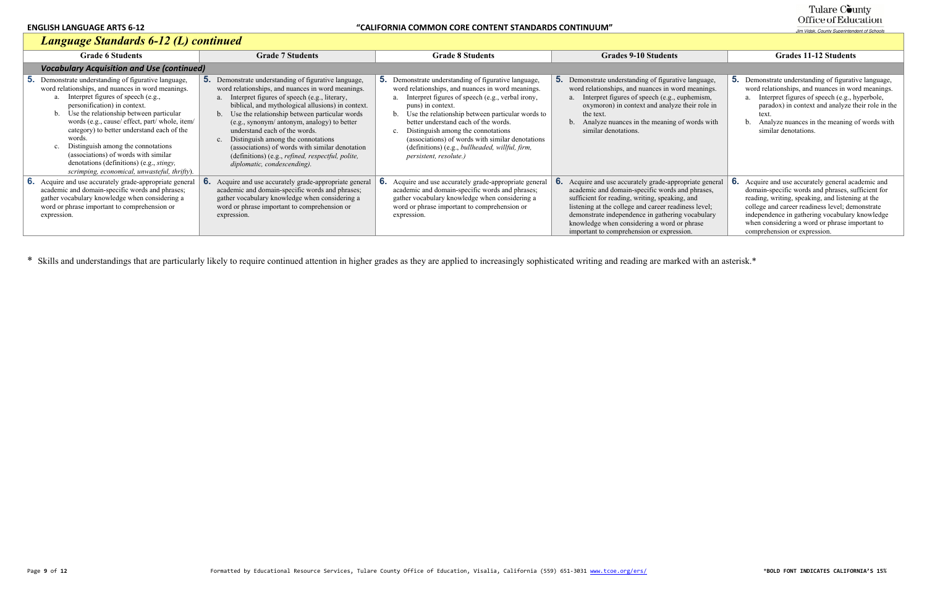\* Skills and understandings that are particularly likely to require continued attention in higher grades as they are applied to increasingly sophisticated writing and reading are marked with an asterisk.\*

# Tulare County<br>Office of Education

Jim Vidak, County Superintendent of Schools

## *Language Standards 6-12 (L) continued*

| Language Standards 6-12 (L) continued                                                                                                                                                                                                                                                                                                                                                                                                                                                                                            |                                                                                                                                                                                                                                                                                                                                                                                                                                                                                                                           |                                                                                                                                                                                                                                                                                                                                                                                                                                                                                                        |                                                                                                                                                                                                                                                                                                                                                                   |                                                                                                                                                                                                                                                                                                                                                       |  |  |
|----------------------------------------------------------------------------------------------------------------------------------------------------------------------------------------------------------------------------------------------------------------------------------------------------------------------------------------------------------------------------------------------------------------------------------------------------------------------------------------------------------------------------------|---------------------------------------------------------------------------------------------------------------------------------------------------------------------------------------------------------------------------------------------------------------------------------------------------------------------------------------------------------------------------------------------------------------------------------------------------------------------------------------------------------------------------|--------------------------------------------------------------------------------------------------------------------------------------------------------------------------------------------------------------------------------------------------------------------------------------------------------------------------------------------------------------------------------------------------------------------------------------------------------------------------------------------------------|-------------------------------------------------------------------------------------------------------------------------------------------------------------------------------------------------------------------------------------------------------------------------------------------------------------------------------------------------------------------|-------------------------------------------------------------------------------------------------------------------------------------------------------------------------------------------------------------------------------------------------------------------------------------------------------------------------------------------------------|--|--|
| <b>Grade 6 Students</b>                                                                                                                                                                                                                                                                                                                                                                                                                                                                                                          | <b>Grade 7 Students</b>                                                                                                                                                                                                                                                                                                                                                                                                                                                                                                   | <b>Grade 8 Students</b>                                                                                                                                                                                                                                                                                                                                                                                                                                                                                | <b>Grades 9-10 Students</b>                                                                                                                                                                                                                                                                                                                                       | <b>Grades 11-12 Students</b>                                                                                                                                                                                                                                                                                                                          |  |  |
| <b>Vocabulary Acquisition and Use (continued)</b>                                                                                                                                                                                                                                                                                                                                                                                                                                                                                |                                                                                                                                                                                                                                                                                                                                                                                                                                                                                                                           |                                                                                                                                                                                                                                                                                                                                                                                                                                                                                                        |                                                                                                                                                                                                                                                                                                                                                                   |                                                                                                                                                                                                                                                                                                                                                       |  |  |
| <b>5.</b> Demonstrate understanding of figurative language,<br>word relationships, and nuances in word meanings.<br>Interpret figures of speech (e.g.,<br>personification) in context.<br>Use the relationship between particular<br>words (e.g., cause/ effect, part/ whole, item/<br>category) to better understand each of the<br>words.<br>c. Distinguish among the connotations<br>(associations) of words with similar<br>denotations (definitions) (e.g., <i>stingy</i> ,<br>scrimping, economical, unwasteful, thrifty). | Demonstrate understanding of figurative language,<br>word relationships, and nuances in word meanings.<br>Interpret figures of speech (e.g., literary,<br>biblical, and mythological allusions) in context.<br>Use the relationship between particular words<br>(e.g., synonym/ antonym, analogy) to better<br>understand each of the words.<br>Distinguish among the connotations<br>(associations) of words with similar denotation<br>(definitions) (e.g., refined, respectful, polite,<br>diplomatic, condescending). | <b>5.</b> Demonstrate understanding of figurative language,<br>word relationships, and nuances in word meanings.<br>Interpret figures of speech (e.g., verbal irony,<br>a.<br>puns) in context.<br>Use the relationship between particular words to<br>$b_{-}$<br>better understand each of the words.<br>Distinguish among the connotations<br>$\mathbf{c}$ .<br>(associations) of words with similar denotations<br>(definitions) (e.g., bullheaded, willful, firm,<br><i>persistent, resolute.)</i> | <b>5.</b> Demonstrate understanding of figurative language,<br>word relationships, and nuances in word meanings.<br>Interpret figures of speech (e.g., euphemism,<br>oxymoron) in context and analyze their role in<br>the text.<br>b. Analyze nuances in the meaning of words with<br>similar denotations.                                                       | <b>5.</b> Demonstrate understanding of figurative language,<br>word relationships, and nuances in word meanings.<br>Interpret figures of speech (e.g., hyperbole,<br>paradox) in context and analyze their role in the<br>text<br>Analyze nuances in the meaning of words with<br>similar denotations.                                                |  |  |
| <b>6.</b> Acquire and use accurately grade-appropriate general<br>academic and domain-specific words and phrases;<br>gather vocabulary knowledge when considering a<br>word or phrase important to comprehension or<br>expression.                                                                                                                                                                                                                                                                                               | Acquire and use accurately grade-appropriate genera<br>academic and domain-specific words and phrases;<br>gather vocabulary knowledge when considering a<br>word or phrase important to comprehension or<br>expression.                                                                                                                                                                                                                                                                                                   | <b>6.</b> Acquire and use accurately grade-appropriate general<br>academic and domain-specific words and phrases;<br>gather vocabulary knowledge when considering a<br>word or phrase important to comprehension or<br>expression.                                                                                                                                                                                                                                                                     | Acquire and use accurately grade-appropriate general<br>academic and domain-specific words and phrases,<br>sufficient for reading, writing, speaking, and<br>listening at the college and career readiness level;<br>demonstrate independence in gathering vocabulary<br>knowledge when considering a word or phrase<br>important to comprehension or expression. | Acquire and use accurately general academic and<br>6.<br>domain-specific words and phrases, sufficient for<br>reading, writing, speaking, and listening at the<br>college and career readiness level; demonstrate<br>independence in gathering vocabulary knowledge<br>when considering a word or phrase important to<br>comprehension or expression. |  |  |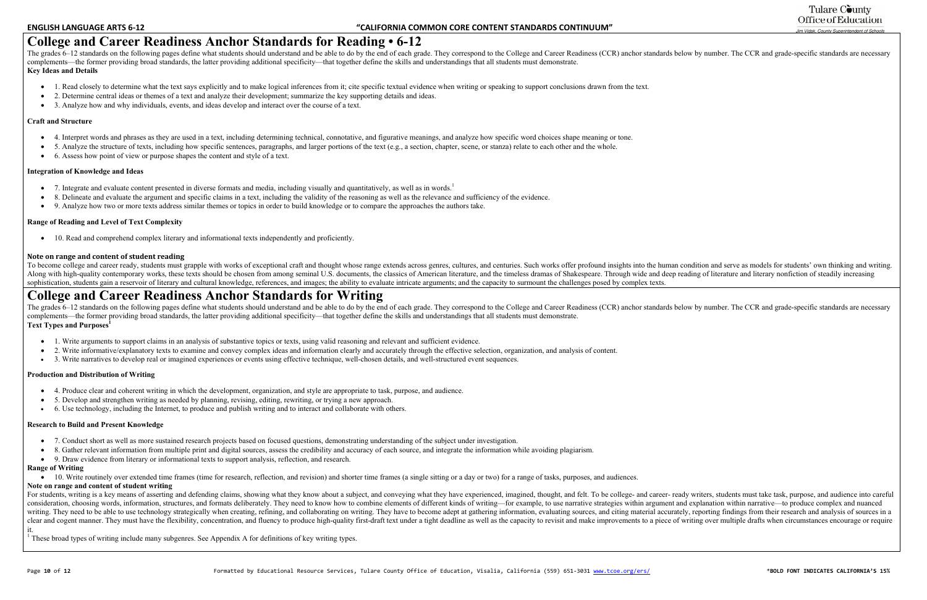## **College and Career Readiness Anchor Standards for Reading • 6-12**

The grades 6–12 standards on the following pages define what students should understand and be able to do by the end of each grade. They correspond to the College and Career Readiness (CCR) anchor standards below by number complements—the former providing broad standards, the latter providing additional specificity—that together define the skills and understandings that all students must demonstrate. **Key Ideas and Details** 

- $\bullet$ 1. Read closely to determine what the text says explicitly and to make logical inferences from it; cite specific textual evidence when writing or speaking to support conclusions drawn from the text.
- $\bullet$ 2. Determine central ideas or themes of a text and analyze their development; summarize the key supporting details and ideas.
- 3. Analyze how and why individuals, events, and ideas develop and interact over the course of a text.

- $\bullet$  7. Integrate and evaluate content presented in diverse formats and media, including visually and quantitatively, as well as in words.<sup>1</sup>
- 8. Delineate and evaluate the argument and specific claims in a text, including the validity of the reasoning as well as the relevance and sufficiency of the evidence.
- $\bullet$ 9. Analyze how two or more texts address similar themes or topics in order to build knowledge or to compare the approaches the authors take.

#### **Craft and Structure**

- 4. Interpret words and phrases as they are used in a text, including determining technical, connotative, and figurative meanings, and analyze how specific word choices shape meaning or tone.
- 5. Analyze the structure of texts, including how specific sentences, paragraphs, and larger portions of the text (e.g., a section, chapter, scene, or stanza) relate to each other and the whole.
- 6. Assess how point of view or purpose shapes the content and style of a text.

#### **Integration of Knowledge and Ideas**

The grades 6–12 standards on the following pages define what students should understand and be able to do by the end of each grade. They correspond to the College and Career Readiness (CCR) anchor standards below by number complements—the former providing broad standards, the latter providing additional specificity—that together define the skills and understandings that all students must demonstrate. **Text Types and Purposes<sup>1</sup>**

- $\bullet$ 1. Write arguments to support claims in an analysis of substantive topics or texts, using valid reasoning and relevant and sufficient evidence.
- $\bullet$ 2. Write informative/explanatory texts to examine and convey complex ideas and information clearly and accurately through the effective selection, organization, and analysis of content.
- $\bullet$ 3. Write narratives to develop real or imagined experiences or events using effective technique, well-chosen details, and well-structured event sequences.

#### **Range of Reading and Level of Text Complexity**

10. Read and comprehend complex literary and informational texts independently and proficiently.

#### **Note on range and content of student reading**

To become college and career ready, students must grapple with works of exceptional craft and thought whose range extends across genres, cultures, and centuries. Such works offer profound insights into the human condition Along with high-quality contemporary works, these texts should be chosen from among seminal U.S. documents, the classics of American literature, and the timeless dramas of Shakespeare. Through wide and deep reading of lite sophistication, students gain a reservoir of literary and cultural knowledge, references, and images; the ability to evaluate intricate arguments; and the capacity to surmount the challenges posed by complex texts.

- 7. Conduct short as well as more sustained research projects based on focused questions, demonstrating understanding of the subject under investigation.
- 8. Gather relevant information from multiple print and digital sources, assess the credibility and accuracy of each source, and integrate the information while avoiding plagiarism.
- 9. Draw evidence from literary or informational texts to support analysis, reflection, and research.

### **College and Career Readiness Anchor Standards for Writing**

For students, writing is a key means of asserting and defending claims, showing what they know about a subject, and conveying what they have experienced, imagined, thought, and felt. To be college- and career- ready writer consideration, choosing words, information, structures, and formats deliberately. They need to know how to combine elements of different kinds of writing—for example, to use narrative strategies within argument and explana writing. They need to be able to use technology strategically when creating, refining, and collaborating on writing. They have to become adept at gathering information, evaluating sources, and citing material accurately, r clear and cogent manner. They must have the flexibility, concentration, and fluency to produce high-quality first-draft text under a tight deadline as well as the capacity to revisit and make improvements to a piece of wri it.

<sup>1</sup> These broad types of writing include many subgenres. See Appendix A for definitions of key writing types.

### Tulare County Office of Education

Jim Vidak. County Superintendent of Schools

#### **Production and Distribution of Writing**

- 4. Produce clear and coherent writing in which the development, organization, and style are appropriate to task, purpose, and audience.
- $\bullet$ 5. Develop and strengthen writing as needed by planning, revising, editing, rewriting, or trying a new approach.
- 6. Use technology, including the Internet, to produce and publish writing and to interact and collaborate with others.

#### **Research to Build and Present Knowledge**

#### **Range of Writing**

• 10. Write routinely over extended time frames (time for research, reflection, and revision) and shorter time frames (a single sitting or a day or two) for a range of tasks, purposes, and audiences.

#### **Note on range and content of student writing**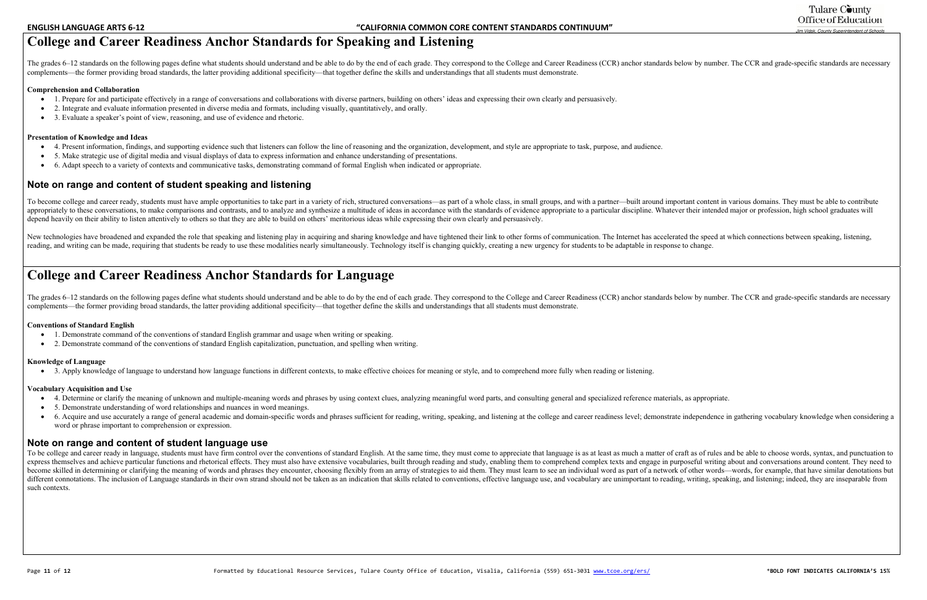## **College and Career Readiness Anchor Standards for Speaking and Listening**

The grades 6–12 standards on the following pages define what students should understand and be able to do by the end of each grade. They correspond to the College and Career Readiness (CCR) anchor standards below by number complements—the former providing broad standards, the latter providing additional specificity—that together define the skills and understandings that all students must demonstrate.

- 1. Prepare for and participate effectively in a range of conversations and collaborations with diverse partners, building on others' ideas and expressing their own clearly and persuasively.
- $\bullet$ 2. Integrate and evaluate information presented in diverse media and formats, including visually, quantitatively, and orally.
- $\bullet$ 3. Evaluate a speaker's point of view, reasoning, and use of evidence and rhetoric.

#### **Comprehension and Collaboration**

#### **Presentation of Knowledge and Ideas**

To become college and career ready, students must have ample opportunities to take part in a variety of rich, structured conversations—as part of a whole class, in small groups, and with a partner—built around important co appropriately to these conversations, to make comparisons and contrasts, and to analyze and synthesize a multitude of ideas in accordance with the standards of evidence appropriate to a particular discipline. Whatever thei depend heavily on their ability to listen attentively to others so that they are able to build on others' meritorious ideas while expressing their own clearly and persuasively.

New technologies have broadened and expanded the role that speaking and listening play in acquiring and sharing knowledge and have tightened their link to other forms of communication. The Internet has accelerated the spee reading, and writing can be made, requiring that students be ready to use these modalities nearly simultaneously. Technology itself is changing quickly, creating a new urgency for students to be adaptable in response to ch

- 4. Present information, findings, and supporting evidence such that listeners can follow the line of reasoning and the organization, development, and style are appropriate to task, purpose, and audience.
- 5. Make strategic use of digital media and visual displays of data to express information and enhance understanding of presentations.
- $\bullet$ 6. Adapt speech to a variety of contexts and communicative tasks, demonstrating command of formal English when indicated or appropriate.

The grades 6–12 standards on the following pages define what students should understand and be able to do by the end of each grade. They correspond to the College and Career Readiness (CCR) anchor standards below by number complements—the former providing broad standards, the latter providing additional specificity—that together define the skills and understandings that all students must demonstrate.

#### **Note on range and content of student speaking and listening**

- $\bullet$ 1. Demonstrate command of the conventions of standard English grammar and usage when writing or speaking.
- $\bullet$ 2. Demonstrate command of the conventions of standard English capitalization, punctuation, and spelling when writing.

To be college and career ready in language, students must have firm control over the conventions of standard English. At the same time, they must come to appreciate that language is as at least as much a matter of craft as express themselves and achieve particular functions and rhetorical effects. They must also have extensive vocabularies, built through reading and study, enabling them to comprehend complex texts and engage in purposeful wr become skilled in determining or clarifying the meaning of words and phrases they encounter, choosing flexibly from an array of strategies to aid them. They must learn to see an individual word as part of a network of othe different connotations. The inclusion of Language standards in their own strand should not be taken as an indication that skills related to conventions, effective language use, and vocabulary are unimportant to reading, wr such contexts.

### Tulare County Office of Education

-<br>Jim Vidak, County Superintendent of Schools

### **College and Career Readiness Anchor Standards for Language**

#### **Conventions of Standard English**

#### **Knowledge of Language**

• 3. Apply knowledge of language to understand how language functions in different contexts, to make effective choices for meaning or style, and to comprehend more fully when reading or listening.

#### **Vocabulary Acquisition and Use**

- 4. Determine or clarify the meaning of unknown and multiple-meaning words and phrases by using context clues, analyzing meaningful word parts, and consulting general and specialized reference materials, as appropriate.
- c 5. Demonstrate understanding of word relationships and nuances in word meanings.
- $\bullet$ 6. Acquire and use accurately a range of general academic and domain-specific words and phrases sufficient for reading, writing, speaking, and listening at the college and career readiness level; demonstrate independence i word or phrase important to comprehension or expression.

#### **Note on range and content of student language use**